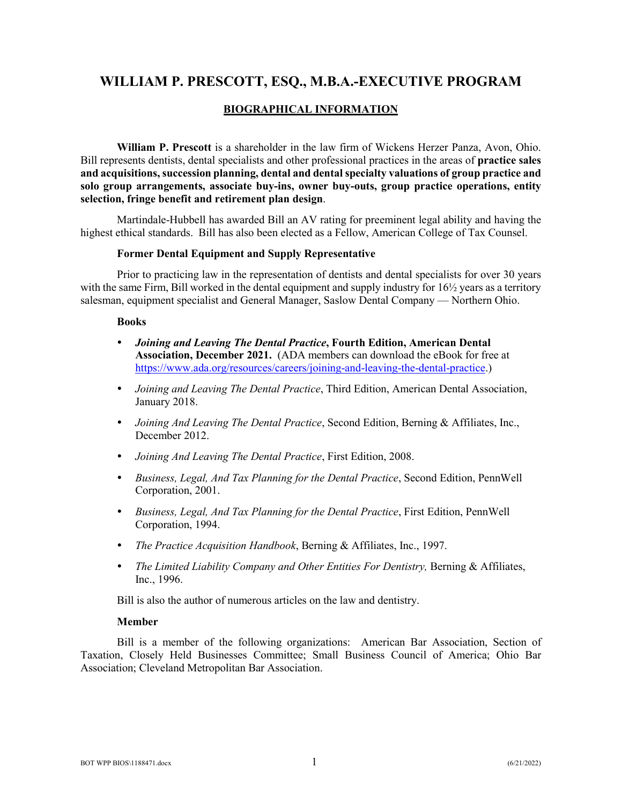### **BIOGRAPHICAL INFORMATION**

**William P. Prescott** is a shareholder in the law firm of Wickens Herzer Panza, Avon, Ohio. Bill represents dentists, dental specialists and other professional practices in the areas of **practice sales and acquisitions, succession planning, dental and dental specialty valuations of group practice and solo group arrangements, associate buy-ins, owner buy-outs, group practice operations, entity selection, fringe benefit and retirement plan design**.

Martindale-Hubbell has awarded Bill an AV rating for preeminent legal ability and having the highest ethical standards. Bill has also been elected as a Fellow, American College of Tax Counsel.

#### **Former Dental Equipment and Supply Representative**

Prior to practicing law in the representation of dentists and dental specialists for over 30 years with the same Firm, Bill worked in the dental equipment and supply industry for  $16\frac{1}{2}$  years as a territory salesman, equipment specialist and General Manager, Saslow Dental Company — Northern Ohio.

#### **Books**

- *Joining and Leaving The Dental Practice***, Fourth Edition, American Dental Association, December 2021.** (ADA members can download the eBook for free at https://www.ada.org/resources/careers/joining-and-leaving-the-dental-practice.)
- *Joining and Leaving The Dental Practice*, Third Edition, American Dental Association, January 2018.
- *Joining And Leaving The Dental Practice*, Second Edition, Berning & Affiliates, Inc., December 2012.
- *Joining And Leaving The Dental Practice*, First Edition, 2008.
- *Business, Legal, And Tax Planning for the Dental Practice*, Second Edition, PennWell Corporation, 2001.
- *Business, Legal, And Tax Planning for the Dental Practice*, First Edition, PennWell Corporation, 1994.
- *The Practice Acquisition Handbook*, Berning & Affiliates, Inc., 1997.
- *The Limited Liability Company and Other Entities For Dentistry,* Berning & Affiliates, Inc., 1996.

Bill is also the author of numerous articles on the law and dentistry.

#### **Member**

Bill is a member of the following organizations: American Bar Association, Section of Taxation, Closely Held Businesses Committee; Small Business Council of America; Ohio Bar Association; Cleveland Metropolitan Bar Association.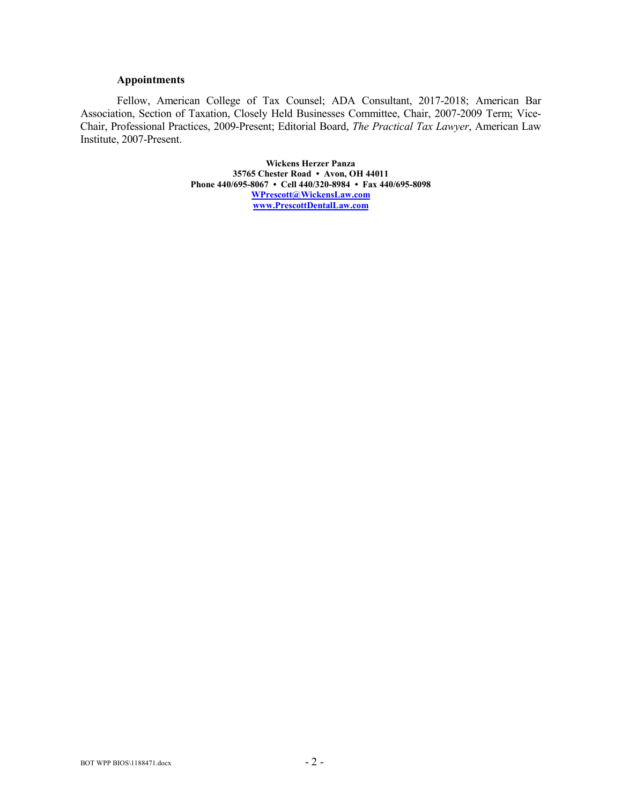#### **Appointments**

Fellow, American College of Tax Counsel; ADA Consultant, 2017-2018; American Bar Association, Section of Taxation, Closely Held Businesses Committee, Chair, 2007-2009 Term; Vice-Chair, Professional Practices, 2009-Present; Editorial Board, *The Practical Tax Lawyer*, American Law Institute, 2007-Present.

> **Wickens Herzer Panza 35765 Chester Road • Avon, OH 44011 Phone 440/695-8067 • Cell 440/320-8984 • Fax 440/695-8098 [WPrescott@WickensLaw.com](mailto:WPrescott@WickensLaw.com) [www.PrescottDentalLaw.com](http://www.prescottdentallaw.com/)**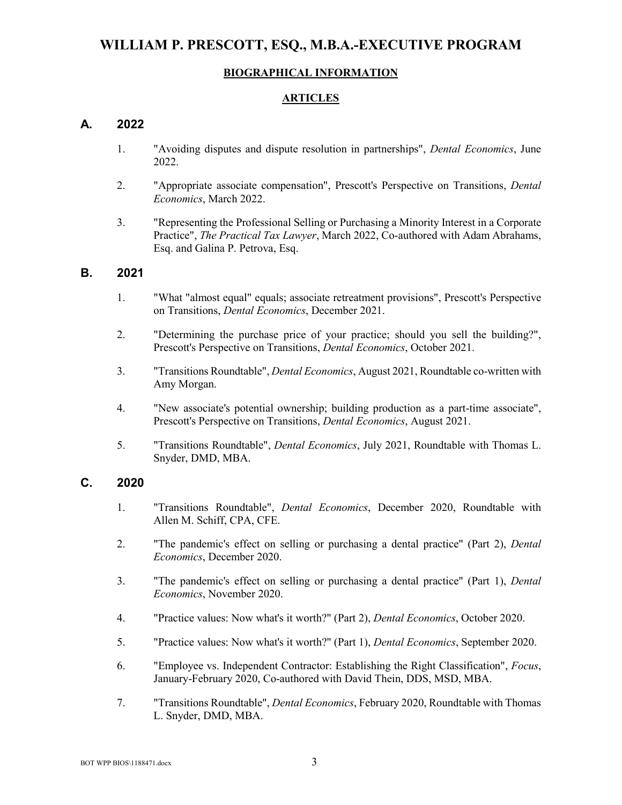#### **BIOGRAPHICAL INFORMATION**

#### **ARTICLES**

### **A. 2022**

- 1. "Avoiding disputes and dispute resolution in partnerships", *Dental Economics*, June 2022.
- 2. "Appropriate associate compensation", Prescott's Perspective on Transitions, *Dental Economics*, March 2022.
- 3. "Representing the Professional Selling or Purchasing a Minority Interest in a Corporate Practice", *The Practical Tax Lawyer*, March 2022, Co-authored with Adam Abrahams, Esq. and Galina P. Petrova, Esq.

### **B. 2021**

- 1. "What "almost equal" equals; associate retreatment provisions", Prescott's Perspective on Transitions, *Dental Economics*, December 2021.
- 2. "Determining the purchase price of your practice; should you sell the building?", Prescott's Perspective on Transitions, *Dental Economics*, October 2021.
- 3. "Transitions Roundtable", *Dental Economics*, August 2021, Roundtable co-written with Amy Morgan.
- 4. "New associate's potential ownership; building production as a part-time associate", Prescott's Perspective on Transitions, *Dental Economics*, August 2021.
- 5. "Transitions Roundtable", *Dental Economics*, July 2021, Roundtable with Thomas L. Snyder, DMD, MBA.

### **C. 2020**

- 1. "Transitions Roundtable", *Dental Economics*, December 2020, Roundtable with Allen M. Schiff, CPA, CFE.
- 2. "The pandemic's effect on selling or purchasing a dental practice" (Part 2), *Dental Economics*, December 2020.
- 3. "The pandemic's effect on selling or purchasing a dental practice" (Part 1), *Dental Economics*, November 2020.
- 4. "Practice values: Now what's it worth?" (Part 2), *Dental Economics*, October 2020.
- 5. "Practice values: Now what's it worth?" (Part 1), *Dental Economics*, September 2020.
- 6. "Employee vs. Independent Contractor: Establishing the Right Classification", *Focus*, January-February 2020, Co-authored with David Thein, DDS, MSD, MBA.
- 7. "Transitions Roundtable", *Dental Economics*, February 2020, Roundtable with Thomas L. Snyder, DMD, MBA.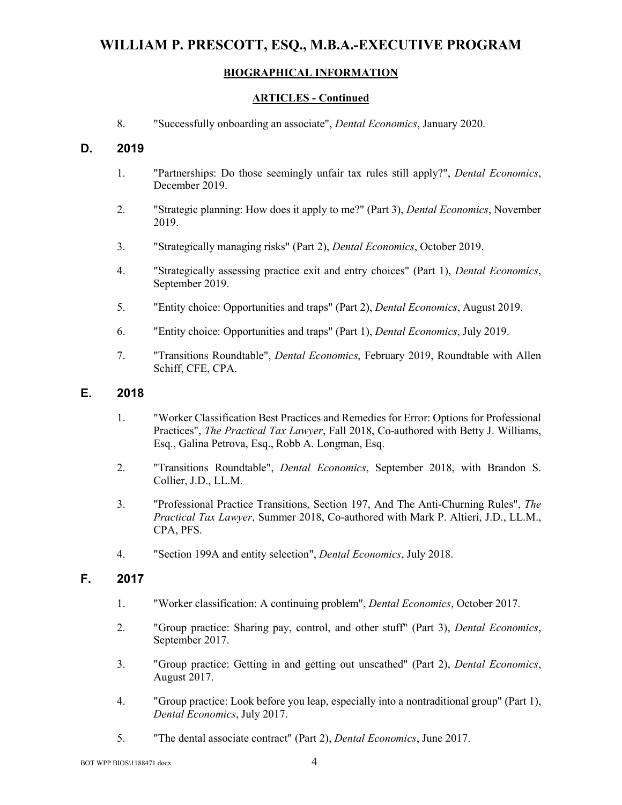## **BIOGRAPHICAL INFORMATION**

### **ARTICLES - Continued**

8. "Successfully onboarding an associate", *Dental Economics*, January 2020.

## **D. 2019**

- 1. "Partnerships: Do those seemingly unfair tax rules still apply?", *Dental Economics*, December 2019.
- 2. "Strategic planning: How does it apply to me?" (Part 3), *Dental Economics*, November 2019.
- 3. "Strategically managing risks" (Part 2), *Dental Economics*, October 2019.
- 4. "Strategically assessing practice exit and entry choices" (Part 1), *Dental Economics*, September 2019.
- 5. "Entity choice: Opportunities and traps" (Part 2), *Dental Economics*, August 2019.
- 6. "Entity choice: Opportunities and traps" (Part 1), *Dental Economics*, July 2019.
- 7. "Transitions Roundtable", *Dental Economics*, February 2019, Roundtable with Allen Schiff, CFE, CPA.

### **E. 2018**

- 1. "Worker Classification Best Practices and Remedies for Error: Options for Professional Practices", *The Practical Tax Lawyer*, Fall 2018, Co-authored with Betty J. Williams, Esq., Galina Petrova, Esq., Robb A. Longman, Esq.
- 2. "Transitions Roundtable", *Dental Economics*, September 2018, with Brandon S. Collier, J.D., LL.M.
- 3. "Professional Practice Transitions, Section 197, And The Anti-Churning Rules", *The Practical Tax Lawyer*, Summer 2018, Co-authored with Mark P. Altieri, J.D., LL.M., CPA, PFS.
- 4. "Section 199A and entity selection", *Dental Economics*, July 2018.

## **F. 2017**

- 1. "Worker classification: A continuing problem", *Dental Economics*, October 2017.
- 2. "Group practice: Sharing pay, control, and other stuff" (Part 3), *Dental Economics*, September 2017.
- 3. "Group practice: Getting in and getting out unscathed" (Part 2), *Dental Economics*, August 2017.
- 4. "Group practice: Look before you leap, especially into a nontraditional group" (Part 1), *Dental Economics*, July 2017.
- 5. "The dental associate contract" (Part 2), *Dental Economics*, June 2017.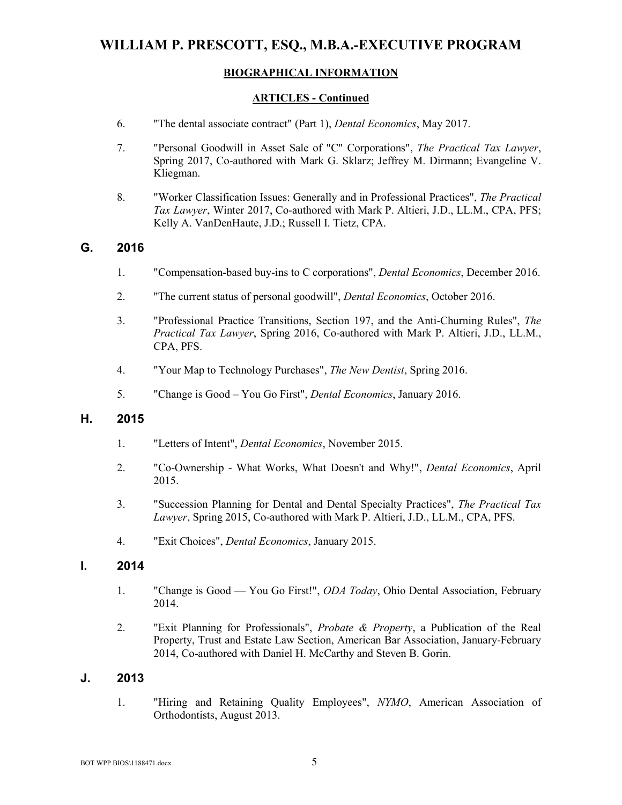## **BIOGRAPHICAL INFORMATION**

### **ARTICLES - Continued**

- 6. "The dental associate contract" (Part 1), *Dental Economics*, May 2017.
- 7. "Personal Goodwill in Asset Sale of "C" Corporations", *The Practical Tax Lawyer*, Spring 2017, Co-authored with Mark G. Sklarz; Jeffrey M. Dirmann; Evangeline V. Kliegman.
- 8. "Worker Classification Issues: Generally and in Professional Practices", *The Practical Tax Lawyer*, Winter 2017, Co-authored with Mark P. Altieri, J.D., LL.M., CPA, PFS; Kelly A. VanDenHaute, J.D.; Russell I. Tietz, CPA.

## **G. 2016**

- 1. "Compensation-based buy-ins to C corporations", *Dental Economics*, December 2016.
- 2. "The current status of personal goodwill", *Dental Economics*, October 2016.
- 3. "Professional Practice Transitions, Section 197, and the Anti-Churning Rules", *The Practical Tax Lawyer*, Spring 2016, Co-authored with Mark P. Altieri, J.D., LL.M., CPA, PFS.
- 4. "Your Map to Technology Purchases", *The New Dentist*, Spring 2016.
- 5. "Change is Good You Go First", *Dental Economics*, January 2016.

### **H. 2015**

- 1. "Letters of Intent", *Dental Economics*, November 2015.
- 2. "Co-Ownership What Works, What Doesn't and Why!", *Dental Economics*, April 2015.
- 3. "Succession Planning for Dental and Dental Specialty Practices", *The Practical Tax Lawyer*, Spring 2015, Co-authored with Mark P. Altieri, J.D., LL.M., CPA, PFS.
- 4. "Exit Choices", *Dental Economics*, January 2015.

### **I. 2014**

- 1. "Change is Good You Go First!", *ODA Today*, Ohio Dental Association, February 2014.
- 2. "Exit Planning for Professionals", *Probate & Property*, a Publication of the Real Property, Trust and Estate Law Section, American Bar Association, January-February 2014, Co-authored with Daniel H. McCarthy and Steven B. Gorin.

### **J. 2013**

1. "Hiring and Retaining Quality Employees", *NYMO*, American Association of Orthodontists, August 2013.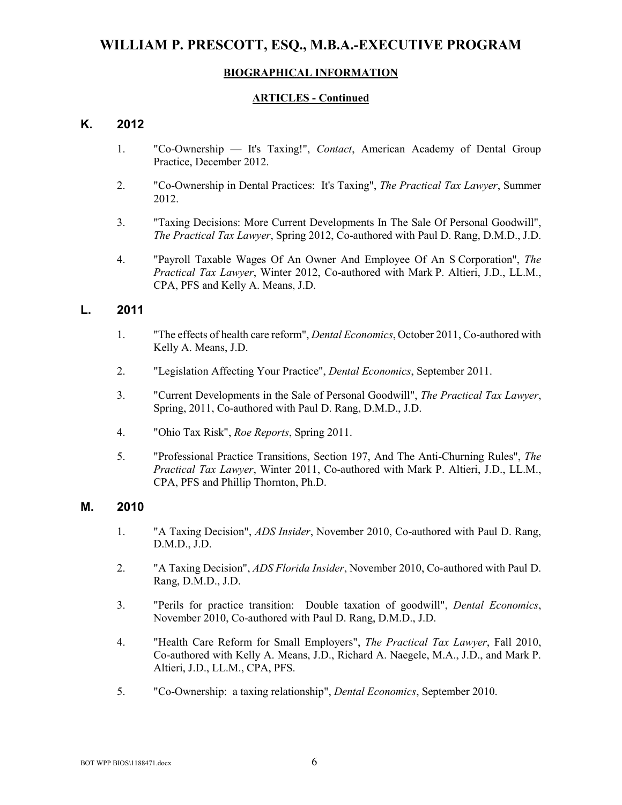### **BIOGRAPHICAL INFORMATION**

#### **ARTICLES - Continued**

### **K. 2012**

- 1. "Co-Ownership It's Taxing!", *Contact*, American Academy of Dental Group Practice, December 2012.
- 2. "Co-Ownership in Dental Practices: It's Taxing", *The Practical Tax Lawyer*, Summer 2012.
- 3. "Taxing Decisions: More Current Developments In The Sale Of Personal Goodwill", *The Practical Tax Lawyer*, Spring 2012, Co-authored with Paul D. Rang, D.M.D., J.D.
- 4. "Payroll Taxable Wages Of An Owner And Employee Of An S Corporation", *The Practical Tax Lawyer*, Winter 2012, Co-authored with Mark P. Altieri, J.D., LL.M., CPA, PFS and Kelly A. Means, J.D.

#### **L. 2011**

- 1. "The effects of health care reform", *Dental Economics*, October 2011, Co-authored with Kelly A. Means, J.D.
- 2. "Legislation Affecting Your Practice", *Dental Economics*, September 2011.
- 3. "Current Developments in the Sale of Personal Goodwill", *The Practical Tax Lawyer*, Spring, 2011, Co-authored with Paul D. Rang, D.M.D., J.D.
- 4. "Ohio Tax Risk", *Roe Reports*, Spring 2011.
- 5. "Professional Practice Transitions, Section 197, And The Anti-Churning Rules", *The Practical Tax Lawyer*, Winter 2011, Co-authored with Mark P. Altieri, J.D., LL.M., CPA, PFS and Phillip Thornton, Ph.D.

#### **M. 2010**

- 1. "A Taxing Decision", *ADS Insider*, November 2010, Co-authored with Paul D. Rang, D.M.D., J.D.
- 2. "A Taxing Decision", *ADS Florida Insider*, November 2010, Co-authored with Paul D. Rang, D.M.D., J.D.
- 3. "Perils for practice transition: Double taxation of goodwill", *Dental Economics*, November 2010, Co-authored with Paul D. Rang, D.M.D., J.D.
- 4. "Health Care Reform for Small Employers", *The Practical Tax Lawyer*, Fall 2010, Co-authored with Kelly A. Means, J.D., Richard A. Naegele, M.A., J.D., and Mark P. Altieri, J.D., LL.M., CPA, PFS.
- 5. "Co-Ownership: a taxing relationship", *Dental Economics*, September 2010.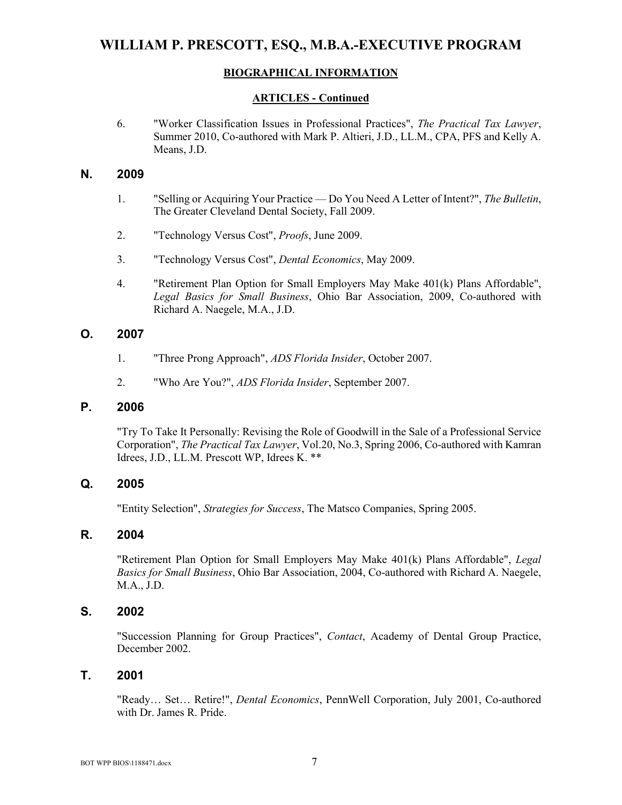## **BIOGRAPHICAL INFORMATION**

### **ARTICLES - Continued**

6. "Worker Classification Issues in Professional Practices", *The Practical Tax Lawyer*, Summer 2010, Co-authored with Mark P. Altieri, J.D., LL.M., CPA, PFS and Kelly A. Means, J.D.

### **N. 2009**

- 1. "Selling or Acquiring Your Practice Do You Need A Letter of Intent?", *The Bulletin*, The Greater Cleveland Dental Society, Fall 2009.
- 2. "Technology Versus Cost", *Proofs*, June 2009.
- 3. "Technology Versus Cost", *Dental Economics*, May 2009.
- 4. "Retirement Plan Option for Small Employers May Make 401(k) Plans Affordable", *Legal Basics for Small Business*, Ohio Bar Association, 2009, Co-authored with Richard A. Naegele, M.A., J.D.

## **O. 2007**

- 1. "Three Prong Approach", *ADS Florida Insider*, October 2007.
- 2. "Who Are You?", *ADS Florida Insider*, September 2007.

### **P. 2006**

"Try To Take It Personally: Revising the Role of Goodwill in the Sale of a Professional Service Corporation", *The Practical Tax Lawyer*, Vol.20, No.3, Spring 2006, Co-authored with Kamran Idrees, J.D., LL.M. Prescott WP, Idrees K. \*\*

## **Q. 2005**

"Entity Selection", *Strategies for Success*, The Matsco Companies, Spring 2005.

## **R. 2004**

"Retirement Plan Option for Small Employers May Make 401(k) Plans Affordable", *Legal Basics for Small Business*, Ohio Bar Association, 2004, Co-authored with Richard A. Naegele, M.A., J.D.

## **S. 2002**

"Succession Planning for Group Practices", *Contact*, Academy of Dental Group Practice, December 2002.

### **T. 2001**

"Ready… Set… Retire!", *Dental Economics*, PennWell Corporation, July 2001, Co-authored with Dr. James R. Pride.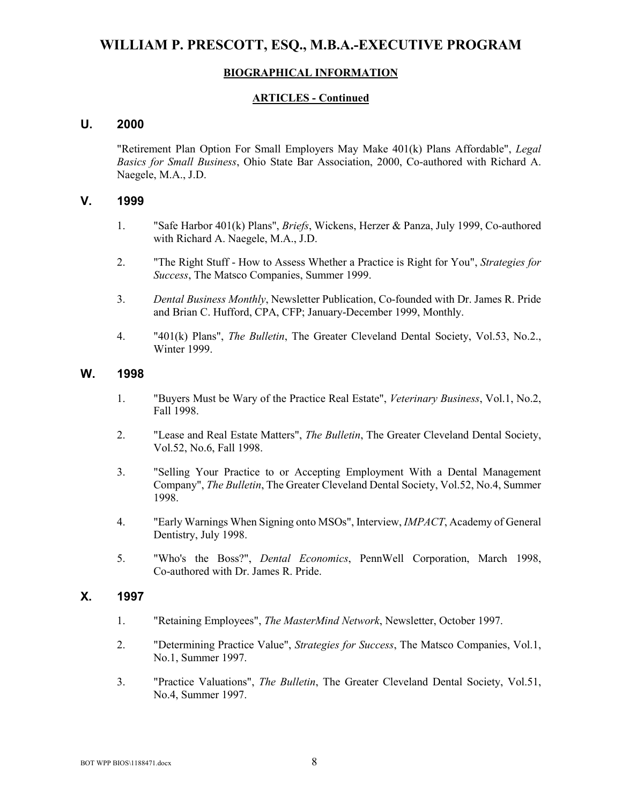### **BIOGRAPHICAL INFORMATION**

#### **ARTICLES - Continued**

### **U. 2000**

"Retirement Plan Option For Small Employers May Make 401(k) Plans Affordable", *Legal Basics for Small Business*, Ohio State Bar Association, 2000, Co-authored with Richard A. Naegele, M.A., J.D.

#### **V. 1999**

- 1. "Safe Harbor 401(k) Plans", *Briefs*, Wickens, Herzer & Panza, July 1999, Co-authored with Richard A. Naegele, M.A., J.D.
- 2. "The Right Stuff How to Assess Whether a Practice is Right for You", *Strategies for Success*, The Matsco Companies, Summer 1999.
- 3. *Dental Business Monthly*, Newsletter Publication, Co-founded with Dr. James R. Pride and Brian C. Hufford, CPA, CFP; January-December 1999, Monthly.
- 4. "401(k) Plans", *The Bulletin*, The Greater Cleveland Dental Society, Vol.53, No.2., Winter 1999.

#### **W. 1998**

- 1. "Buyers Must be Wary of the Practice Real Estate", *Veterinary Business*, Vol.1, No.2, Fall 1998.
- 2. "Lease and Real Estate Matters", *The Bulletin*, The Greater Cleveland Dental Society, Vol.52, No.6, Fall 1998.
- 3. "Selling Your Practice to or Accepting Employment With a Dental Management Company", *The Bulletin*, The Greater Cleveland Dental Society, Vol.52, No.4, Summer 1998.
- 4. "Early Warnings When Signing onto MSOs", Interview, *IMPACT*, Academy of General Dentistry, July 1998.
- 5. "Who's the Boss?", *Dental Economics*, PennWell Corporation, March 1998, Co-authored with Dr. James R. Pride.

#### **X. 1997**

- 1. "Retaining Employees", *The MasterMind Network*, Newsletter, October 1997.
- 2. "Determining Practice Value", *Strategies for Success*, The Matsco Companies, Vol.1, No.1, Summer 1997.
- 3. "Practice Valuations", *The Bulletin*, The Greater Cleveland Dental Society, Vol.51, No.4, Summer 1997.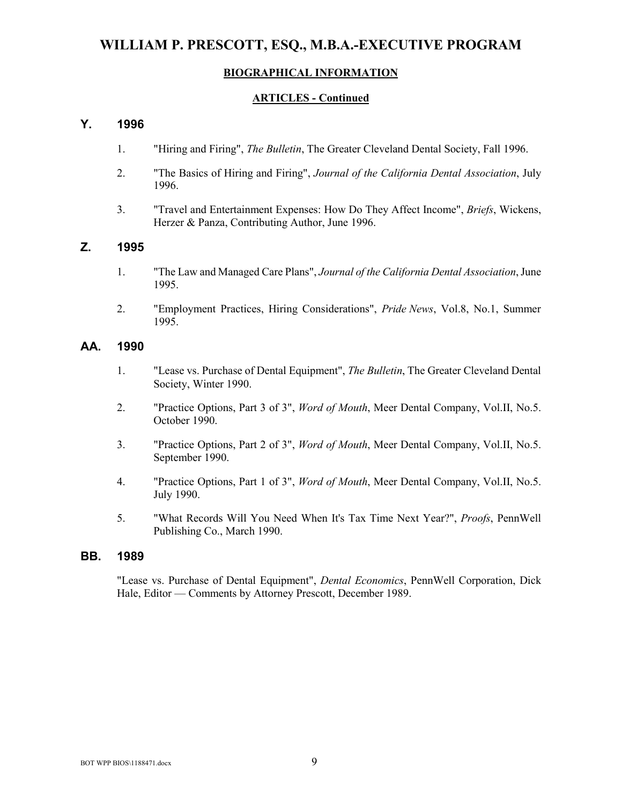#### **BIOGRAPHICAL INFORMATION**

#### **ARTICLES - Continued**

### **Y. 1996**

- 1. "Hiring and Firing", *The Bulletin*, The Greater Cleveland Dental Society, Fall 1996.
- 2. "The Basics of Hiring and Firing", *Journal of the California Dental Association*, July 1996.
- 3. "Travel and Entertainment Expenses: How Do They Affect Income", *Briefs*, Wickens, Herzer & Panza, Contributing Author, June 1996.

### **Z. 1995**

- 1. "The Law and Managed Care Plans", *Journal of the California Dental Association*, June 1995.
- 2. "Employment Practices, Hiring Considerations", *Pride News*, Vol.8, No.1, Summer 1995.

#### **AA. 1990**

- 1. "Lease vs. Purchase of Dental Equipment", *The Bulletin*, The Greater Cleveland Dental Society, Winter 1990.
- 2. "Practice Options, Part 3 of 3", *Word of Mouth*, Meer Dental Company, Vol.II, No.5. October 1990.
- 3. "Practice Options, Part 2 of 3", *Word of Mouth*, Meer Dental Company, Vol.II, No.5. September 1990.
- 4. "Practice Options, Part 1 of 3", *Word of Mouth*, Meer Dental Company, Vol.II, No.5. July 1990.
- 5. "What Records Will You Need When It's Tax Time Next Year?", *Proofs*, PennWell Publishing Co., March 1990.

#### **BB. 1989**

"Lease vs. Purchase of Dental Equipment", *Dental Economics*, PennWell Corporation, Dick Hale, Editor — Comments by Attorney Prescott, December 1989.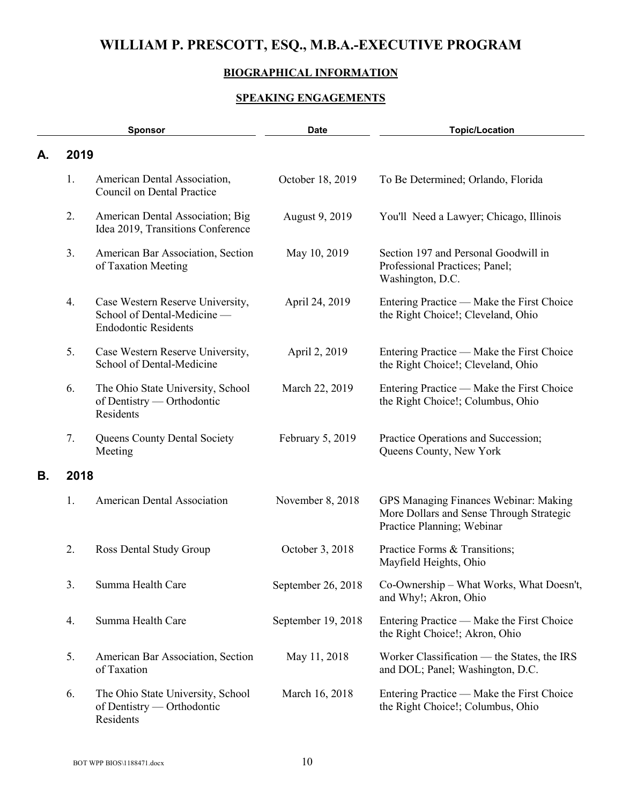## **BIOGRAPHICAL INFORMATION**

## **SPEAKING ENGAGEMENTS**

|    |      | Sponsor                                                                                        | <b>Date</b>        | <b>Topic/Location</b>                                                                                           |
|----|------|------------------------------------------------------------------------------------------------|--------------------|-----------------------------------------------------------------------------------------------------------------|
| А. | 2019 |                                                                                                |                    |                                                                                                                 |
|    | 1.   | American Dental Association,<br>Council on Dental Practice                                     | October 18, 2019   | To Be Determined; Orlando, Florida                                                                              |
|    | 2.   | American Dental Association; Big<br>Idea 2019, Transitions Conference                          | August 9, 2019     | You'll Need a Lawyer; Chicago, Illinois                                                                         |
|    | 3.   | American Bar Association, Section<br>of Taxation Meeting                                       | May 10, 2019       | Section 197 and Personal Goodwill in<br>Professional Practices; Panel;<br>Washington, D.C.                      |
|    | 4.   | Case Western Reserve University,<br>School of Dental-Medicine -<br><b>Endodontic Residents</b> | April 24, 2019     | Entering Practice — Make the First Choice<br>the Right Choice!; Cleveland, Ohio                                 |
|    | 5.   | Case Western Reserve University,<br>School of Dental-Medicine                                  | April 2, 2019      | Entering Practice — Make the First Choice<br>the Right Choice!; Cleveland, Ohio                                 |
|    | 6.   | The Ohio State University, School<br>of Dentistry — Orthodontic<br>Residents                   | March 22, 2019     | Entering Practice — Make the First Choice<br>the Right Choice!; Columbus, Ohio                                  |
|    | 7.   | Queens County Dental Society<br>Meeting                                                        | February 5, 2019   | Practice Operations and Succession;<br>Queens County, New York                                                  |
| В. | 2018 |                                                                                                |                    |                                                                                                                 |
|    | 1.   | <b>American Dental Association</b>                                                             | November 8, 2018   | GPS Managing Finances Webinar: Making<br>More Dollars and Sense Through Strategic<br>Practice Planning; Webinar |
|    | 2.   | Ross Dental Study Group                                                                        | October 3, 2018    | Practice Forms & Transitions;<br>Mayfield Heights, Ohio                                                         |
|    | 3.   | Summa Health Care                                                                              | September 26, 2018 | Co-Ownership – What Works, What Doesn't,<br>and Why!; Akron, Ohio                                               |
|    | 4.   | Summa Health Care                                                                              | September 19, 2018 | Entering Practice — Make the First Choice<br>the Right Choice!; Akron, Ohio                                     |
|    | 5.   | American Bar Association, Section<br>of Taxation                                               | May 11, 2018       | Worker Classification — the States, the IRS<br>and DOL; Panel; Washington, D.C.                                 |
|    | 6.   | The Ohio State University, School<br>of Dentistry — Orthodontic<br>Residents                   | March 16, 2018     | Entering Practice — Make the First Choice<br>the Right Choice!; Columbus, Ohio                                  |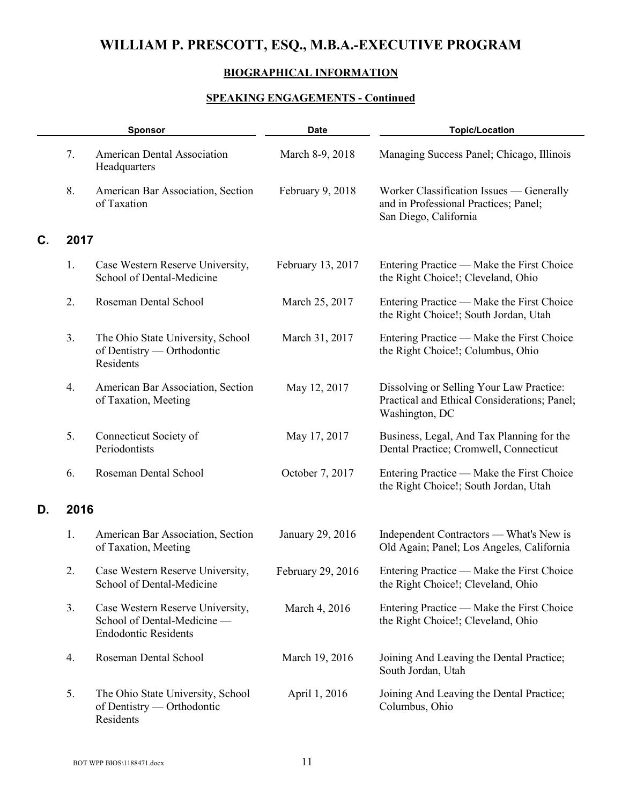## **BIOGRAPHICAL INFORMATION**

|    |      | <b>Sponsor</b>                                                                                 | <b>Date</b>       | <b>Topic/Location</b>                                                                                      |
|----|------|------------------------------------------------------------------------------------------------|-------------------|------------------------------------------------------------------------------------------------------------|
|    | 7.   | <b>American Dental Association</b><br>Headquarters                                             | March 8-9, 2018   | Managing Success Panel; Chicago, Illinois                                                                  |
|    | 8.   | American Bar Association, Section<br>of Taxation                                               | February 9, 2018  | Worker Classification Issues — Generally<br>and in Professional Practices; Panel;<br>San Diego, California |
| C. | 2017 |                                                                                                |                   |                                                                                                            |
|    | 1.   | Case Western Reserve University,<br>School of Dental-Medicine                                  | February 13, 2017 | Entering Practice — Make the First Choice<br>the Right Choice!; Cleveland, Ohio                            |
|    | 2.   | Roseman Dental School                                                                          | March 25, 2017    | Entering Practice — Make the First Choice<br>the Right Choice!; South Jordan, Utah                         |
|    | 3.   | The Ohio State University, School<br>of Dentistry — Orthodontic<br>Residents                   | March 31, 2017    | Entering Practice — Make the First Choice<br>the Right Choice!; Columbus, Ohio                             |
|    | 4.   | American Bar Association, Section<br>of Taxation, Meeting                                      | May 12, 2017      | Dissolving or Selling Your Law Practice:<br>Practical and Ethical Considerations; Panel;<br>Washington, DC |
|    | 5.   | Connecticut Society of<br>Periodontists                                                        | May 17, 2017      | Business, Legal, And Tax Planning for the<br>Dental Practice; Cromwell, Connecticut                        |
|    | 6.   | Roseman Dental School                                                                          | October 7, 2017   | Entering Practice — Make the First Choice<br>the Right Choice!; South Jordan, Utah                         |
| D. | 2016 |                                                                                                |                   |                                                                                                            |
|    | 1.   | American Bar Association, Section<br>of Taxation, Meeting                                      | January 29, 2016  | Independent Contractors — What's New is<br>Old Again; Panel; Los Angeles, California                       |
|    | 2.   | Case Western Reserve University,<br>School of Dental-Medicine                                  | February 29, 2016 | Entering Practice — Make the First Choice<br>the Right Choice!; Cleveland, Ohio                            |
|    | 3.   | Case Western Reserve University,<br>School of Dental-Medicine -<br><b>Endodontic Residents</b> | March 4, 2016     | Entering Practice — Make the First Choice<br>the Right Choice!; Cleveland, Ohio                            |
|    | 4.   | Roseman Dental School                                                                          | March 19, 2016    | Joining And Leaving the Dental Practice;<br>South Jordan, Utah                                             |
|    | 5.   | The Ohio State University, School<br>of Dentistry — Orthodontic<br>Residents                   | April 1, 2016     | Joining And Leaving the Dental Practice;<br>Columbus, Ohio                                                 |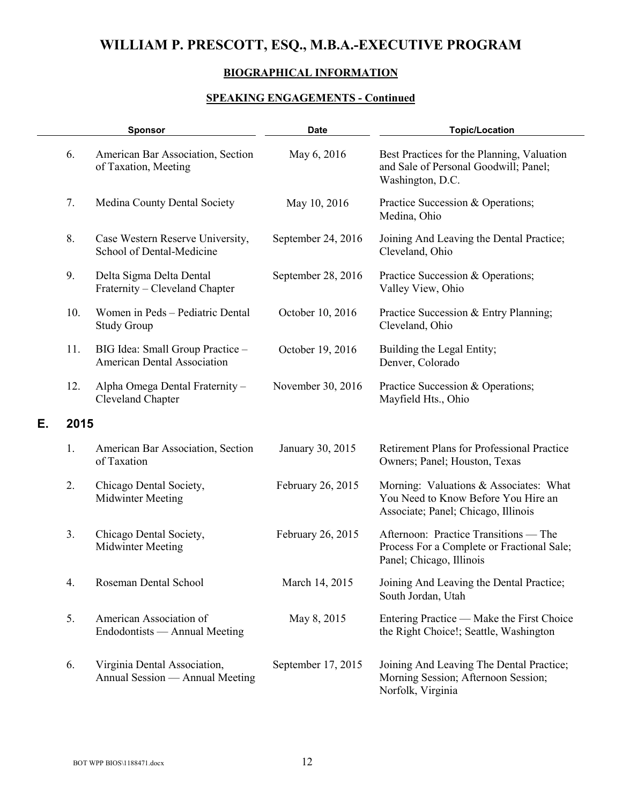## **BIOGRAPHICAL INFORMATION**

|    |      | <b>Sponsor</b>                                                         | <b>Date</b>        | <b>Topic/Location</b>                                                                                                |
|----|------|------------------------------------------------------------------------|--------------------|----------------------------------------------------------------------------------------------------------------------|
|    | 6.   | American Bar Association, Section<br>of Taxation, Meeting              | May 6, 2016        | Best Practices for the Planning, Valuation<br>and Sale of Personal Goodwill; Panel;<br>Washington, D.C.              |
|    | 7.   | Medina County Dental Society                                           | May 10, 2016       | Practice Succession & Operations;<br>Medina, Ohio                                                                    |
|    | 8.   | Case Western Reserve University,<br>School of Dental-Medicine          | September 24, 2016 | Joining And Leaving the Dental Practice;<br>Cleveland, Ohio                                                          |
|    | 9.   | Delta Sigma Delta Dental<br>Fraternity – Cleveland Chapter             | September 28, 2016 | Practice Succession & Operations;<br>Valley View, Ohio                                                               |
|    | 10.  | Women in Peds - Pediatric Dental<br><b>Study Group</b>                 | October 10, 2016   | Practice Succession & Entry Planning;<br>Cleveland, Ohio                                                             |
|    | 11.  | BIG Idea: Small Group Practice -<br><b>American Dental Association</b> | October 19, 2016   | Building the Legal Entity;<br>Denver, Colorado                                                                       |
|    | 12.  | Alpha Omega Dental Fraternity-<br>Cleveland Chapter                    | November 30, 2016  | Practice Succession & Operations;<br>Mayfield Hts., Ohio                                                             |
| Е. | 2015 |                                                                        |                    |                                                                                                                      |
|    | 1.   | American Bar Association, Section<br>of Taxation                       | January 30, 2015   | <b>Retirement Plans for Professional Practice</b><br>Owners; Panel; Houston, Texas                                   |
|    | 2.   | Chicago Dental Society,<br><b>Midwinter Meeting</b>                    | February 26, 2015  | Morning: Valuations & Associates: What<br>You Need to Know Before You Hire an<br>Associate; Panel; Chicago, Illinois |
|    | 3.   | Chicago Dental Society,<br><b>Midwinter Meeting</b>                    | February 26, 2015  | Afternoon: Practice Transitions — The<br>Process For a Complete or Fractional Sale;<br>Panel; Chicago, Illinois      |
|    | 4.   | Roseman Dental School                                                  | March 14, 2015     | Joining And Leaving the Dental Practice;<br>South Jordan, Utah                                                       |
|    | 5.   | American Association of<br>Endodontists — Annual Meeting               | May 8, 2015        | Entering Practice — Make the First Choice<br>the Right Choice!; Seattle, Washington                                  |
|    | 6.   | Virginia Dental Association,<br>Annual Session — Annual Meeting        | September 17, 2015 | Joining And Leaving The Dental Practice;<br>Morning Session; Afternoon Session;<br>Norfolk, Virginia                 |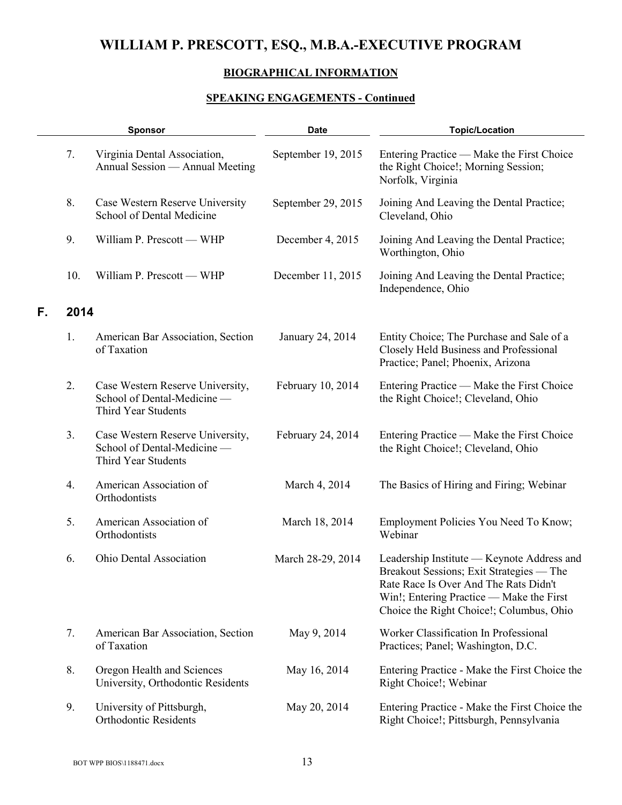## **BIOGRAPHICAL INFORMATION**

|    | <b>Sponsor</b> |                                                                                        | <b>Date</b>        | <b>Topic/Location</b>                                                                                                                                                                                                   |
|----|----------------|----------------------------------------------------------------------------------------|--------------------|-------------------------------------------------------------------------------------------------------------------------------------------------------------------------------------------------------------------------|
|    | 7.             | Virginia Dental Association,<br>Annual Session — Annual Meeting                        | September 19, 2015 | Entering Practice — Make the First Choice<br>the Right Choice!; Morning Session;<br>Norfolk, Virginia                                                                                                                   |
|    | 8.             | Case Western Reserve University<br>School of Dental Medicine                           | September 29, 2015 | Joining And Leaving the Dental Practice;<br>Cleveland, Ohio                                                                                                                                                             |
|    | 9.             | William P. Prescott - WHP                                                              | December 4, 2015   | Joining And Leaving the Dental Practice;<br>Worthington, Ohio                                                                                                                                                           |
|    | 10.            | William P. Prescott - WHP                                                              | December 11, 2015  | Joining And Leaving the Dental Practice;<br>Independence, Ohio                                                                                                                                                          |
| F. | 2014           |                                                                                        |                    |                                                                                                                                                                                                                         |
|    | 1.             | American Bar Association, Section<br>of Taxation                                       | January 24, 2014   | Entity Choice; The Purchase and Sale of a<br>Closely Held Business and Professional<br>Practice; Panel; Phoenix, Arizona                                                                                                |
|    | 2.             | Case Western Reserve University,<br>School of Dental-Medicine -<br>Third Year Students | February 10, 2014  | Entering Practice — Make the First Choice<br>the Right Choice!; Cleveland, Ohio                                                                                                                                         |
|    | 3.             | Case Western Reserve University,<br>School of Dental-Medicine -<br>Third Year Students | February 24, 2014  | Entering Practice — Make the First Choice<br>the Right Choice!; Cleveland, Ohio                                                                                                                                         |
|    | 4.             | American Association of<br>Orthodontists                                               | March 4, 2014      | The Basics of Hiring and Firing; Webinar                                                                                                                                                                                |
|    | 5.             | American Association of<br>Orthodontists                                               | March 18, 2014     | Employment Policies You Need To Know;<br>Webinar                                                                                                                                                                        |
|    | 6.             | Ohio Dental Association                                                                | March 28-29, 2014  | Leadership Institute — Keynote Address and<br>Breakout Sessions; Exit Strategies — The<br>Rate Race Is Over And The Rats Didn't<br>Win!; Entering Practice — Make the First<br>Choice the Right Choice!; Columbus, Ohio |
|    | 7.             | American Bar Association, Section<br>of Taxation                                       | May 9, 2014        | Worker Classification In Professional<br>Practices; Panel; Washington, D.C.                                                                                                                                             |
|    | 8.             | Oregon Health and Sciences<br>University, Orthodontic Residents                        | May 16, 2014       | Entering Practice - Make the First Choice the<br>Right Choice!; Webinar                                                                                                                                                 |
|    | 9.             | University of Pittsburgh,<br><b>Orthodontic Residents</b>                              | May 20, 2014       | Entering Practice - Make the First Choice the<br>Right Choice!; Pittsburgh, Pennsylvania                                                                                                                                |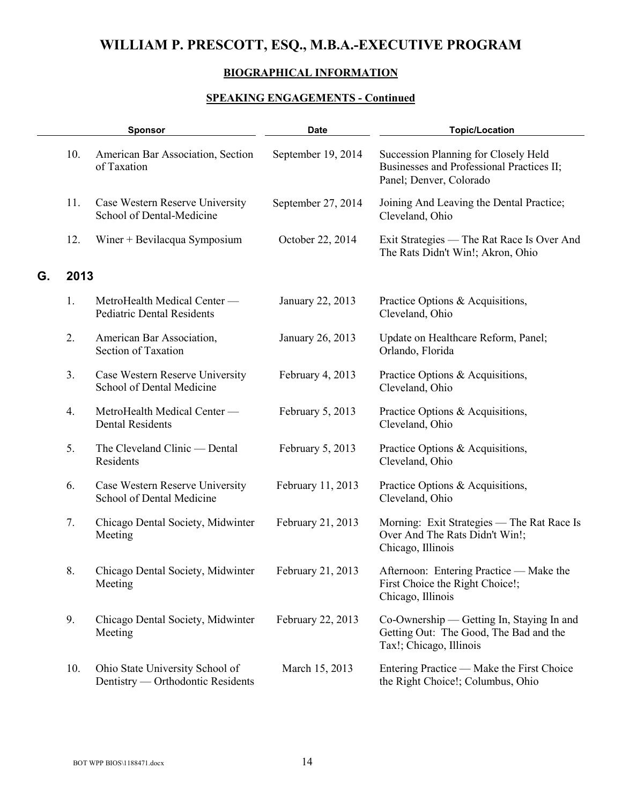## **BIOGRAPHICAL INFORMATION**

|    |      | <b>Sponsor</b>                                                       | <b>Date</b>        | <b>Topic/Location</b>                                                                                          |
|----|------|----------------------------------------------------------------------|--------------------|----------------------------------------------------------------------------------------------------------------|
|    | 10.  | American Bar Association, Section<br>of Taxation                     | September 19, 2014 | Succession Planning for Closely Held<br>Businesses and Professional Practices II;<br>Panel; Denver, Colorado   |
|    | 11.  | Case Western Reserve University<br>School of Dental-Medicine         | September 27, 2014 | Joining And Leaving the Dental Practice;<br>Cleveland, Ohio                                                    |
|    | 12.  | Winer + Bevilacqua Symposium                                         | October 22, 2014   | Exit Strategies — The Rat Race Is Over And<br>The Rats Didn't Win!; Akron, Ohio                                |
| G. | 2013 |                                                                      |                    |                                                                                                                |
|    | 1.   | MetroHealth Medical Center -<br><b>Pediatric Dental Residents</b>    | January 22, 2013   | Practice Options & Acquisitions,<br>Cleveland, Ohio                                                            |
|    | 2.   | American Bar Association,<br>Section of Taxation                     | January 26, 2013   | Update on Healthcare Reform, Panel;<br>Orlando, Florida                                                        |
|    | 3.   | Case Western Reserve University<br>School of Dental Medicine         | February 4, 2013   | Practice Options & Acquisitions,<br>Cleveland, Ohio                                                            |
|    | 4.   | MetroHealth Medical Center -<br><b>Dental Residents</b>              | February 5, 2013   | Practice Options & Acquisitions,<br>Cleveland, Ohio                                                            |
|    | 5.   | The Cleveland Clinic — Dental<br>Residents                           | February 5, 2013   | Practice Options & Acquisitions,<br>Cleveland, Ohio                                                            |
|    | 6.   | Case Western Reserve University<br>School of Dental Medicine         | February 11, 2013  | Practice Options & Acquisitions,<br>Cleveland, Ohio                                                            |
|    | 7.   | Chicago Dental Society, Midwinter<br>Meeting                         | February 21, 2013  | Morning: Exit Strategies - The Rat Race Is<br>Over And The Rats Didn't Win!;<br>Chicago, Illinois              |
|    | 8.   | Chicago Dental Society, Midwinter<br>Meeting                         | February 21, 2013  | Afternoon: Entering Practice - Make the<br>First Choice the Right Choice!;<br>Chicago, Illinois                |
|    | 9.   | Chicago Dental Society, Midwinter<br>Meeting                         | February 22, 2013  | Co-Ownership — Getting In, Staying In and<br>Getting Out: The Good, The Bad and the<br>Tax!; Chicago, Illinois |
|    | 10.  | Ohio State University School of<br>Dentistry — Orthodontic Residents | March 15, 2013     | Entering Practice — Make the First Choice<br>the Right Choice!; Columbus, Ohio                                 |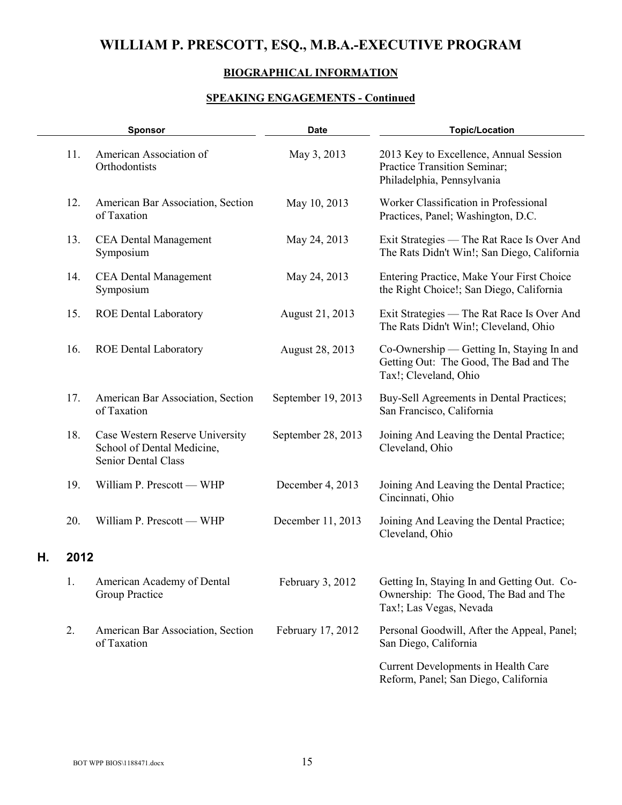## **BIOGRAPHICAL INFORMATION**

# **SPEAKING ENGAGEMENTS - Continued**

|    |      | <b>Sponsor</b>                                                                       | <b>Date</b>        | <b>Topic/Location</b>                                                                                          |
|----|------|--------------------------------------------------------------------------------------|--------------------|----------------------------------------------------------------------------------------------------------------|
|    | 11.  | American Association of<br>Orthodontists                                             | May 3, 2013        | 2013 Key to Excellence, Annual Session<br>Practice Transition Seminar;<br>Philadelphia, Pennsylvania           |
|    | 12.  | American Bar Association, Section<br>of Taxation                                     | May 10, 2013       | Worker Classification in Professional<br>Practices, Panel; Washington, D.C.                                    |
|    | 13.  | <b>CEA Dental Management</b><br>Symposium                                            | May 24, 2013       | Exit Strategies — The Rat Race Is Over And<br>The Rats Didn't Win!; San Diego, California                      |
|    | 14.  | <b>CEA Dental Management</b><br>Symposium                                            | May 24, 2013       | Entering Practice, Make Your First Choice<br>the Right Choice!; San Diego, California                          |
|    | 15.  | <b>ROE Dental Laboratory</b>                                                         | August 21, 2013    | Exit Strategies — The Rat Race Is Over And<br>The Rats Didn't Win!; Cleveland, Ohio                            |
|    | 16.  | <b>ROE Dental Laboratory</b>                                                         | August 28, 2013    | Co-Ownership — Getting In, Staying In and<br>Getting Out: The Good, The Bad and The<br>Tax!; Cleveland, Ohio   |
|    | 17.  | American Bar Association, Section<br>of Taxation                                     | September 19, 2013 | Buy-Sell Agreements in Dental Practices;<br>San Francisco, California                                          |
|    | 18.  | Case Western Reserve University<br>School of Dental Medicine,<br>Senior Dental Class | September 28, 2013 | Joining And Leaving the Dental Practice;<br>Cleveland, Ohio                                                    |
|    | 19.  | William P. Prescott - WHP                                                            | December 4, 2013   | Joining And Leaving the Dental Practice;<br>Cincinnati, Ohio                                                   |
|    | 20.  | William P. Prescott — WHP                                                            | December 11, 2013  | Joining And Leaving the Dental Practice;<br>Cleveland, Ohio                                                    |
| Н. | 2012 |                                                                                      |                    |                                                                                                                |
|    | 1.   | American Academy of Dental<br>Group Practice                                         | February 3, 2012   | Getting In, Staying In and Getting Out. Co-<br>Ownership: The Good, The Bad and The<br>Tax!; Las Vegas, Nevada |
|    | 2.   | American Bar Association, Section<br>of Taxation                                     | February 17, 2012  | Personal Goodwill, After the Appeal, Panel;<br>San Diego, California                                           |
|    |      |                                                                                      |                    | Current Developments in Health Care<br>Reform, Panel; San Diego, California                                    |

 $\bar{a}$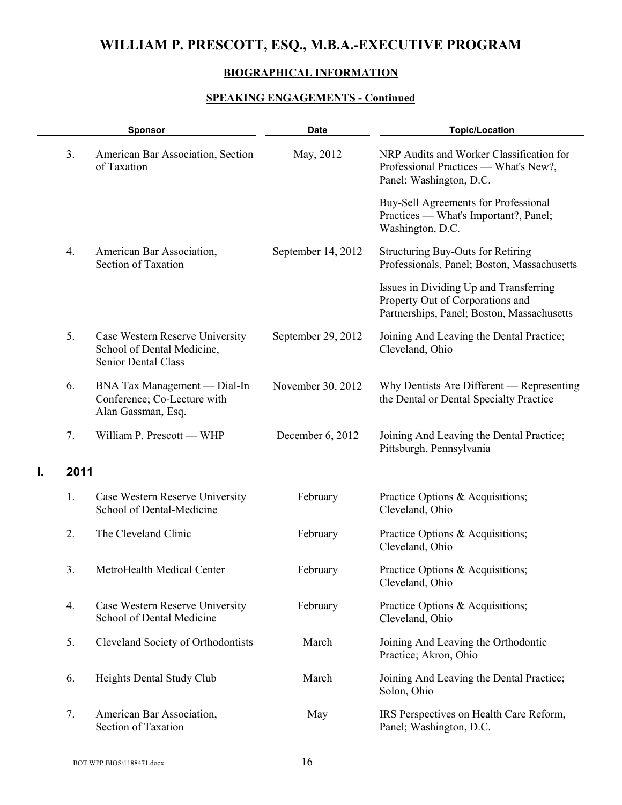## **BIOGRAPHICAL INFORMATION**

|    |      | <b>Sponsor</b>                                                                              | <b>Date</b>        | <b>Topic/Location</b>                                                                                                    |
|----|------|---------------------------------------------------------------------------------------------|--------------------|--------------------------------------------------------------------------------------------------------------------------|
|    | 3.   | American Bar Association, Section<br>of Taxation                                            | May, 2012          | NRP Audits and Worker Classification for<br>Professional Practices — What's New?,<br>Panel; Washington, D.C.             |
|    |      |                                                                                             |                    | Buy-Sell Agreements for Professional<br>Practices — What's Important?, Panel;<br>Washington, D.C.                        |
|    | 4.   | American Bar Association,<br>Section of Taxation                                            | September 14, 2012 | <b>Structuring Buy-Outs for Retiring</b><br>Professionals, Panel; Boston, Massachusetts                                  |
|    |      |                                                                                             |                    | Issues in Dividing Up and Transferring<br>Property Out of Corporations and<br>Partnerships, Panel; Boston, Massachusetts |
|    | 5.   | Case Western Reserve University<br>School of Dental Medicine,<br><b>Senior Dental Class</b> | September 29, 2012 | Joining And Leaving the Dental Practice;<br>Cleveland, Ohio                                                              |
|    | 6.   | BNA Tax Management — Dial-In<br>Conference; Co-Lecture with<br>Alan Gassman, Esq.           | November 30, 2012  | Why Dentists Are Different — Representing<br>the Dental or Dental Specialty Practice                                     |
|    | 7.   | William P. Prescott - WHP                                                                   | December 6, 2012   | Joining And Leaving the Dental Practice;<br>Pittsburgh, Pennsylvania                                                     |
| Ι. | 2011 |                                                                                             |                    |                                                                                                                          |
|    | 1.   | Case Western Reserve University<br>School of Dental-Medicine                                | February           | Practice Options & Acquisitions;<br>Cleveland, Ohio                                                                      |
|    | 2.   | The Cleveland Clinic                                                                        | February           | Practice Options & Acquisitions;<br>Cleveland, Ohio                                                                      |
|    | 3.   | MetroHealth Medical Center                                                                  | February           | Practice Options & Acquisitions;<br>Cleveland, Ohio                                                                      |
|    | 4.   | Case Western Reserve University<br>School of Dental Medicine                                | February           | Practice Options & Acquisitions;<br>Cleveland, Ohio                                                                      |
|    | 5.   | Cleveland Society of Orthodontists                                                          | March              | Joining And Leaving the Orthodontic<br>Practice; Akron, Ohio                                                             |
|    | 6.   | Heights Dental Study Club                                                                   | March              | Joining And Leaving the Dental Practice;<br>Solon, Ohio                                                                  |
|    | 7.   | American Bar Association,<br><b>Section of Taxation</b>                                     | May                | IRS Perspectives on Health Care Reform,<br>Panel; Washington, D.C.                                                       |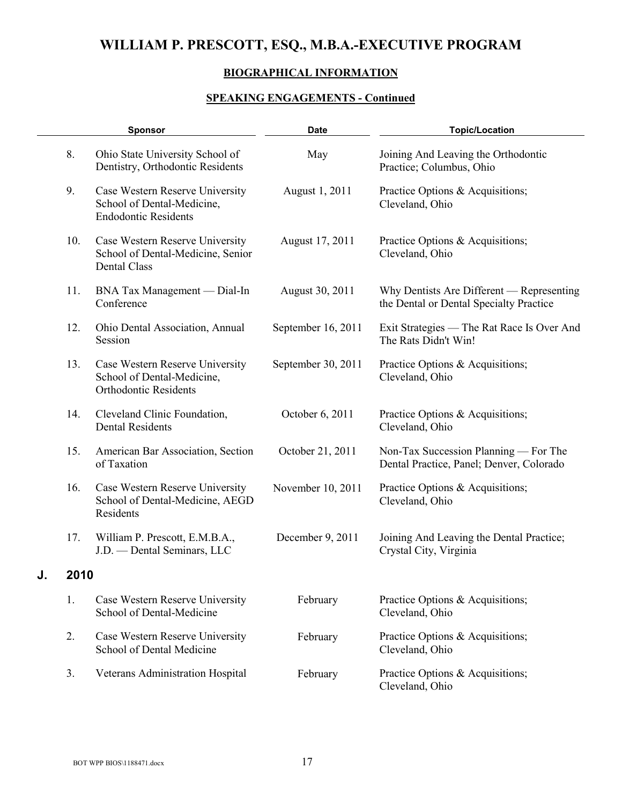## **BIOGRAPHICAL INFORMATION**

|    |      | <b>Sponsor</b>                                                                                | <b>Date</b>        | <b>Topic/Location</b>                                                                |
|----|------|-----------------------------------------------------------------------------------------------|--------------------|--------------------------------------------------------------------------------------|
|    | 8.   | Ohio State University School of<br>Dentistry, Orthodontic Residents                           | May                | Joining And Leaving the Orthodontic<br>Practice; Columbus, Ohio                      |
|    | 9.   | Case Western Reserve University<br>School of Dental-Medicine,<br><b>Endodontic Residents</b>  | August 1, 2011     | Practice Options & Acquisitions;<br>Cleveland, Ohio                                  |
|    | 10.  | Case Western Reserve University<br>School of Dental-Medicine, Senior<br><b>Dental Class</b>   | August 17, 2011    | Practice Options & Acquisitions;<br>Cleveland, Ohio                                  |
|    | 11.  | BNA Tax Management — Dial-In<br>Conference                                                    | August 30, 2011    | Why Dentists Are Different — Representing<br>the Dental or Dental Specialty Practice |
|    | 12.  | Ohio Dental Association, Annual<br>Session                                                    | September 16, 2011 | Exit Strategies — The Rat Race Is Over And<br>The Rats Didn't Win!                   |
|    | 13.  | Case Western Reserve University<br>School of Dental-Medicine,<br><b>Orthodontic Residents</b> | September 30, 2011 | Practice Options & Acquisitions;<br>Cleveland, Ohio                                  |
|    | 14.  | Cleveland Clinic Foundation,<br><b>Dental Residents</b>                                       | October 6, 2011    | Practice Options & Acquisitions;<br>Cleveland, Ohio                                  |
|    | 15.  | American Bar Association, Section<br>of Taxation                                              | October 21, 2011   | Non-Tax Succession Planning — For The<br>Dental Practice, Panel; Denver, Colorado    |
|    | 16.  | Case Western Reserve University<br>School of Dental-Medicine, AEGD<br>Residents               | November 10, 2011  | Practice Options & Acquisitions;<br>Cleveland, Ohio                                  |
|    | 17.  | William P. Prescott, E.M.B.A.,<br>J.D. - Dental Seminars, LLC                                 | December 9, 2011   | Joining And Leaving the Dental Practice;<br>Crystal City, Virginia                   |
| J. | 2010 |                                                                                               |                    |                                                                                      |
|    | 1.   | Case Western Reserve University<br>School of Dental-Medicine                                  | February           | Practice Options & Acquisitions;<br>Cleveland, Ohio                                  |
|    | 2.   | Case Western Reserve University<br>School of Dental Medicine                                  | February           | Practice Options & Acquisitions;<br>Cleveland, Ohio                                  |
|    | 3.   | Veterans Administration Hospital                                                              | February           | Practice Options & Acquisitions;<br>Cleveland, Ohio                                  |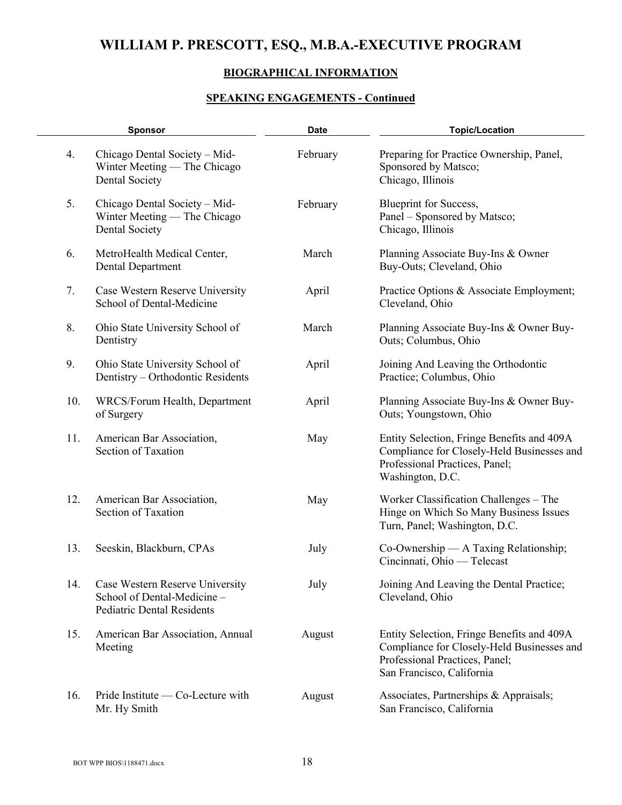### **BIOGRAPHICAL INFORMATION**

|     | <b>Sponsor</b>                                                                                      | <b>Date</b> | <b>Topic/Location</b>                                                                                                                                   |
|-----|-----------------------------------------------------------------------------------------------------|-------------|---------------------------------------------------------------------------------------------------------------------------------------------------------|
| 4.  | Chicago Dental Society - Mid-<br>Winter Meeting — The Chicago<br><b>Dental Society</b>              | February    | Preparing for Practice Ownership, Panel,<br>Sponsored by Matsco;<br>Chicago, Illinois                                                                   |
| 5.  | Chicago Dental Society - Mid-<br>Winter Meeting — The Chicago<br>Dental Society                     | February    | Blueprint for Success,<br>Panel - Sponsored by Matsco;<br>Chicago, Illinois                                                                             |
| 6.  | MetroHealth Medical Center,<br><b>Dental Department</b>                                             | March       | Planning Associate Buy-Ins & Owner<br>Buy-Outs; Cleveland, Ohio                                                                                         |
| 7.  | Case Western Reserve University<br>School of Dental-Medicine                                        | April       | Practice Options & Associate Employment;<br>Cleveland, Ohio                                                                                             |
| 8.  | Ohio State University School of<br>Dentistry                                                        | March       | Planning Associate Buy-Ins & Owner Buy-<br>Outs; Columbus, Ohio                                                                                         |
| 9.  | Ohio State University School of<br>Dentistry - Orthodontic Residents                                | April       | Joining And Leaving the Orthodontic<br>Practice; Columbus, Ohio                                                                                         |
| 10. | WRCS/Forum Health, Department<br>of Surgery                                                         | April       | Planning Associate Buy-Ins & Owner Buy-<br>Outs; Youngstown, Ohio                                                                                       |
| 11. | American Bar Association,<br>Section of Taxation                                                    | May         | Entity Selection, Fringe Benefits and 409A<br>Compliance for Closely-Held Businesses and<br>Professional Practices, Panel;<br>Washington, D.C.          |
| 12. | American Bar Association,<br>Section of Taxation                                                    | May         | Worker Classification Challenges – The<br>Hinge on Which So Many Business Issues<br>Turn, Panel; Washington, D.C.                                       |
| 13. | Seeskin, Blackburn, CPAs                                                                            | July        | Co-Ownership — A Taxing Relationship;<br>Cincinnati, Ohio — Telecast                                                                                    |
| 14. | Case Western Reserve University<br>School of Dental-Medicine -<br><b>Pediatric Dental Residents</b> | July        | Joining And Leaving the Dental Practice;<br>Cleveland, Ohio                                                                                             |
| 15. | American Bar Association, Annual<br>Meeting                                                         | August      | Entity Selection, Fringe Benefits and 409A<br>Compliance for Closely-Held Businesses and<br>Professional Practices, Panel;<br>San Francisco, California |
| 16. | Pride Institute — Co-Lecture with<br>Mr. Hy Smith                                                   | August      | Associates, Partnerships & Appraisals;<br>San Francisco, California                                                                                     |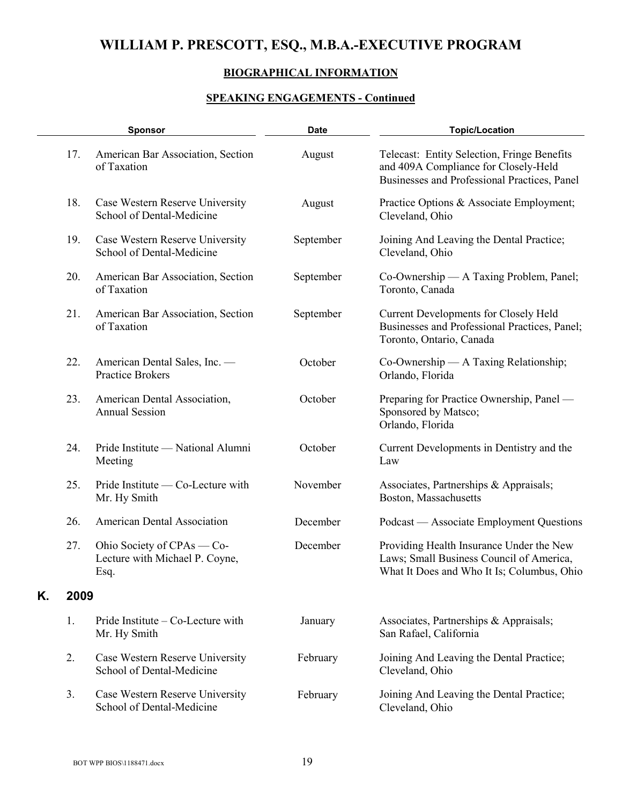## **BIOGRAPHICAL INFORMATION**

|    |      | <b>Sponsor</b>                                                       | <b>Date</b> | <b>Topic/Location</b>                                                                                                               |
|----|------|----------------------------------------------------------------------|-------------|-------------------------------------------------------------------------------------------------------------------------------------|
|    | 17.  | American Bar Association, Section<br>of Taxation                     | August      | Telecast: Entity Selection, Fringe Benefits<br>and 409A Compliance for Closely-Held<br>Businesses and Professional Practices, Panel |
|    | 18.  | Case Western Reserve University<br>School of Dental-Medicine         | August      | Practice Options & Associate Employment;<br>Cleveland, Ohio                                                                         |
|    | 19.  | Case Western Reserve University<br>School of Dental-Medicine         | September   | Joining And Leaving the Dental Practice;<br>Cleveland, Ohio                                                                         |
|    | 20.  | American Bar Association, Section<br>of Taxation                     | September   | Co-Ownership — A Taxing Problem, Panel;<br>Toronto, Canada                                                                          |
|    | 21.  | American Bar Association, Section<br>of Taxation                     | September   | <b>Current Developments for Closely Held</b><br>Businesses and Professional Practices, Panel;<br>Toronto, Ontario, Canada           |
|    | 22.  | American Dental Sales, Inc. -<br>Practice Brokers                    | October     | Co-Ownership — A Taxing Relationship;<br>Orlando, Florida                                                                           |
|    | 23.  | American Dental Association,<br><b>Annual Session</b>                | October     | Preparing for Practice Ownership, Panel —<br>Sponsored by Matsco;<br>Orlando, Florida                                               |
|    | 24.  | Pride Institute — National Alumni<br>Meeting                         | October     | Current Developments in Dentistry and the<br>Law                                                                                    |
|    | 25.  | Pride Institute — Co-Lecture with<br>Mr. Hy Smith                    | November    | Associates, Partnerships & Appraisals;<br>Boston, Massachusetts                                                                     |
|    | 26.  | American Dental Association                                          | December    | Podcast — Associate Employment Questions                                                                                            |
|    | 27.  | Ohio Society of CPAs — Co-<br>Lecture with Michael P. Coyne,<br>Esq. | December    | Providing Health Insurance Under the New<br>Laws; Small Business Council of America,<br>What It Does and Who It Is; Columbus, Ohio  |
| Κ. | 2009 |                                                                      |             |                                                                                                                                     |
|    | 1.   | Pride Institute $-$ Co-Lecture with<br>Mr. Hy Smith                  | January     | Associates, Partnerships & Appraisals;<br>San Rafael, California                                                                    |
|    | 2.   | Case Western Reserve University<br>School of Dental-Medicine         | February    | Joining And Leaving the Dental Practice;<br>Cleveland, Ohio                                                                         |
|    | 3.   | Case Western Reserve University<br>School of Dental-Medicine         | February    | Joining And Leaving the Dental Practice;<br>Cleveland, Ohio                                                                         |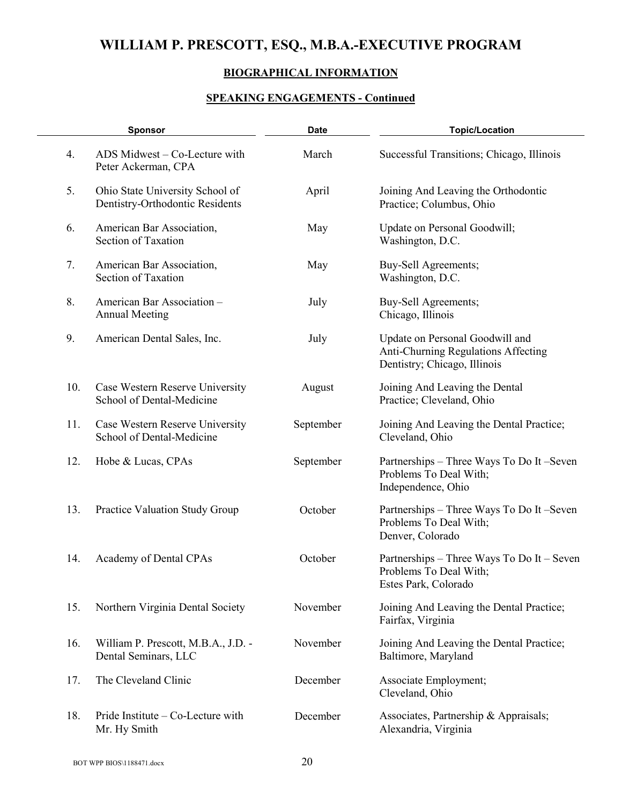### **BIOGRAPHICAL INFORMATION**

| <b>Sponsor</b> |                                                                    | <b>Date</b> | <b>Topic/Location</b>                                                                                  |  |
|----------------|--------------------------------------------------------------------|-------------|--------------------------------------------------------------------------------------------------------|--|
| 4.             | ADS Midwest - Co-Lecture with<br>Peter Ackerman, CPA               | March       | Successful Transitions; Chicago, Illinois                                                              |  |
| 5.             | Ohio State University School of<br>Dentistry-Orthodontic Residents | April       | Joining And Leaving the Orthodontic<br>Practice; Columbus, Ohio                                        |  |
| 6.             | American Bar Association,<br>Section of Taxation                   | May         | Update on Personal Goodwill;<br>Washington, D.C.                                                       |  |
| 7.             | American Bar Association,<br>Section of Taxation                   | May         | Buy-Sell Agreements;<br>Washington, D.C.                                                               |  |
| 8.             | American Bar Association-<br><b>Annual Meeting</b>                 | July        | Buy-Sell Agreements;<br>Chicago, Illinois                                                              |  |
| 9.             | American Dental Sales, Inc.                                        | July        | Update on Personal Goodwill and<br>Anti-Churning Regulations Affecting<br>Dentistry; Chicago, Illinois |  |
| 10.            | Case Western Reserve University<br>School of Dental-Medicine       | August      | Joining And Leaving the Dental<br>Practice; Cleveland, Ohio                                            |  |
| 11.            | Case Western Reserve University<br>School of Dental-Medicine       | September   | Joining And Leaving the Dental Practice;<br>Cleveland, Ohio                                            |  |
| 12.            | Hobe & Lucas, CPAs                                                 | September   | Partnerships – Three Ways To Do It –Seven<br>Problems To Deal With;<br>Independence, Ohio              |  |
| 13.            | Practice Valuation Study Group                                     | October     | Partnerships – Three Ways To Do It –Seven<br>Problems To Deal With;<br>Denver, Colorado                |  |
| 14.            | Academy of Dental CPAs                                             | October     | Partnerships – Three Ways To Do It – Seven<br>Problems To Deal With;<br>Estes Park, Colorado           |  |
| 15.            | Northern Virginia Dental Society                                   | November    | Joining And Leaving the Dental Practice;<br>Fairfax, Virginia                                          |  |
| 16.            | William P. Prescott, M.B.A., J.D. -<br>Dental Seminars, LLC        | November    | Joining And Leaving the Dental Practice;<br>Baltimore, Maryland                                        |  |
| 17.            | The Cleveland Clinic                                               | December    | Associate Employment;<br>Cleveland, Ohio                                                               |  |
| 18.            | Pride Institute $-$ Co-Lecture with<br>Mr. Hy Smith                | December    | Associates, Partnership & Appraisals;<br>Alexandria, Virginia                                          |  |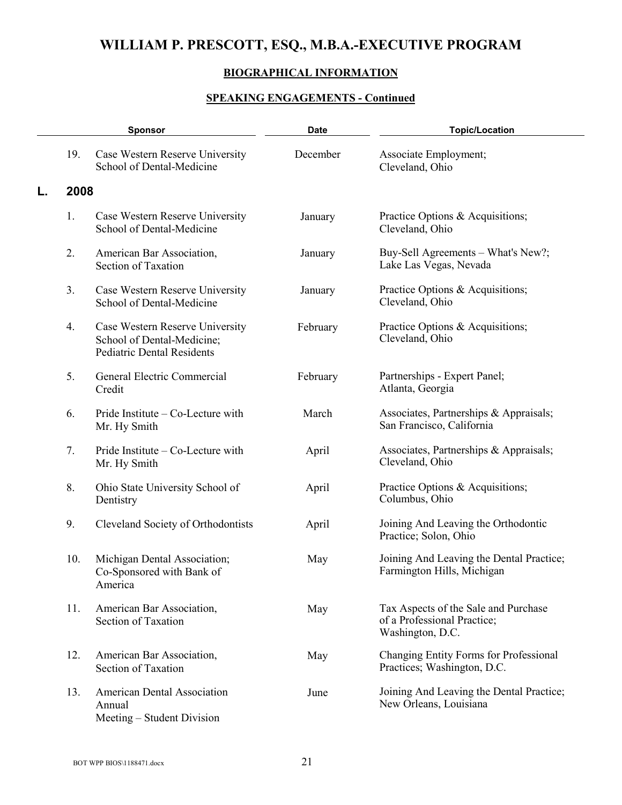## **BIOGRAPHICAL INFORMATION**

|    |      | <b>Sponsor</b>                                                                                     | <b>Date</b> | <b>Topic/Location</b>                                                                   |
|----|------|----------------------------------------------------------------------------------------------------|-------------|-----------------------------------------------------------------------------------------|
|    | 19.  | Case Western Reserve University<br>School of Dental-Medicine                                       | December    | Associate Employment;<br>Cleveland, Ohio                                                |
| L. | 2008 |                                                                                                    |             |                                                                                         |
|    | 1.   | Case Western Reserve University<br>School of Dental-Medicine                                       | January     | Practice Options & Acquisitions;<br>Cleveland, Ohio                                     |
|    | 2.   | American Bar Association,<br>Section of Taxation                                                   | January     | Buy-Sell Agreements - What's New?;<br>Lake Las Vegas, Nevada                            |
|    | 3.   | Case Western Reserve University<br>School of Dental-Medicine                                       | January     | Practice Options & Acquisitions;<br>Cleveland, Ohio                                     |
|    | 4.   | Case Western Reserve University<br>School of Dental-Medicine;<br><b>Pediatric Dental Residents</b> | February    | Practice Options & Acquisitions;<br>Cleveland, Ohio                                     |
|    | 5.   | General Electric Commercial<br>Credit                                                              | February    | Partnerships - Expert Panel;<br>Atlanta, Georgia                                        |
|    | 6.   | Pride Institute – Co-Lecture with<br>Mr. Hy Smith                                                  | March       | Associates, Partnerships & Appraisals;<br>San Francisco, California                     |
|    | 7.   | Pride Institute – Co-Lecture with<br>Mr. Hy Smith                                                  | April       | Associates, Partnerships & Appraisals;<br>Cleveland, Ohio                               |
|    | 8.   | Ohio State University School of<br>Dentistry                                                       | April       | Practice Options & Acquisitions;<br>Columbus, Ohio                                      |
|    | 9.   | Cleveland Society of Orthodontists                                                                 | April       | Joining And Leaving the Orthodontic<br>Practice; Solon, Ohio                            |
|    | 10.  | Michigan Dental Association;<br>Co-Sponsored with Bank of<br>America                               | May         | Joining And Leaving the Dental Practice;<br>Farmington Hills, Michigan                  |
|    | 11.  | American Bar Association,<br>Section of Taxation                                                   | May         | Tax Aspects of the Sale and Purchase<br>of a Professional Practice;<br>Washington, D.C. |
|    | 12.  | American Bar Association,<br>Section of Taxation                                                   | May         | Changing Entity Forms for Professional<br>Practices; Washington, D.C.                   |
|    | 13.  | <b>American Dental Association</b><br>Annual<br>Meeting - Student Division                         | June        | Joining And Leaving the Dental Practice;<br>New Orleans, Louisiana                      |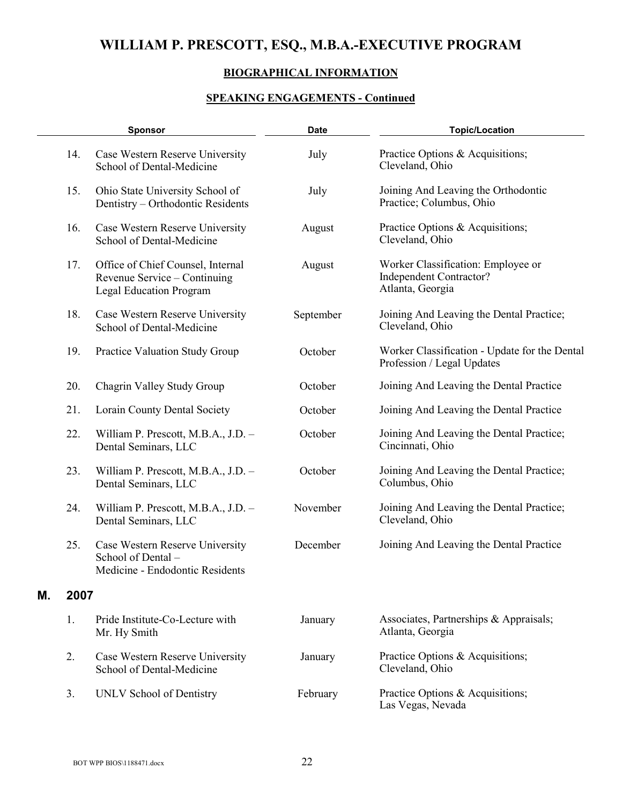### **BIOGRAPHICAL INFORMATION**

|    |      | <b>Sponsor</b>                                                                                      | <b>Date</b> | <b>Topic/Location</b>                                                             |
|----|------|-----------------------------------------------------------------------------------------------------|-------------|-----------------------------------------------------------------------------------|
|    | 14.  | Case Western Reserve University<br>School of Dental-Medicine                                        | July        | Practice Options & Acquisitions;<br>Cleveland, Ohio                               |
|    | 15.  | Ohio State University School of<br>Dentistry - Orthodontic Residents                                | July        | Joining And Leaving the Orthodontic<br>Practice; Columbus, Ohio                   |
|    | 16.  | Case Western Reserve University<br>School of Dental-Medicine                                        | August      | Practice Options & Acquisitions;<br>Cleveland, Ohio                               |
|    | 17.  | Office of Chief Counsel, Internal<br>Revenue Service – Continuing<br><b>Legal Education Program</b> | August      | Worker Classification: Employee or<br>Independent Contractor?<br>Atlanta, Georgia |
|    | 18.  | Case Western Reserve University<br>School of Dental-Medicine                                        | September   | Joining And Leaving the Dental Practice;<br>Cleveland, Ohio                       |
|    | 19.  | Practice Valuation Study Group                                                                      | October     | Worker Classification - Update for the Dental<br>Profession / Legal Updates       |
|    | 20.  | Chagrin Valley Study Group                                                                          | October     | Joining And Leaving the Dental Practice                                           |
|    | 21.  | Lorain County Dental Society                                                                        | October     | Joining And Leaving the Dental Practice                                           |
|    | 22.  | William P. Prescott, M.B.A., J.D. -<br>Dental Seminars, LLC                                         | October     | Joining And Leaving the Dental Practice;<br>Cincinnati, Ohio                      |
|    | 23.  | William P. Prescott, M.B.A., J.D. -<br>Dental Seminars, LLC                                         | October     | Joining And Leaving the Dental Practice;<br>Columbus, Ohio                        |
|    | 24.  | William P. Prescott, M.B.A., J.D. -<br>Dental Seminars, LLC                                         | November    | Joining And Leaving the Dental Practice;<br>Cleveland, Ohio                       |
|    | 25.  | Case Western Reserve University<br>School of Dental-<br>Medicine - Endodontic Residents             | December    | Joining And Leaving the Dental Practice                                           |
| Μ. | 2007 |                                                                                                     |             |                                                                                   |
|    | 1.   | Pride Institute-Co-Lecture with<br>Mr. Hy Smith                                                     | January     | Associates, Partnerships & Appraisals;<br>Atlanta, Georgia                        |
|    | 2.   | Case Western Reserve University<br>School of Dental-Medicine                                        | January     | Practice Options & Acquisitions;<br>Cleveland, Ohio                               |
|    | 3.   | UNLV School of Dentistry                                                                            | February    | Practice Options & Acquisitions;<br>Las Vegas, Nevada                             |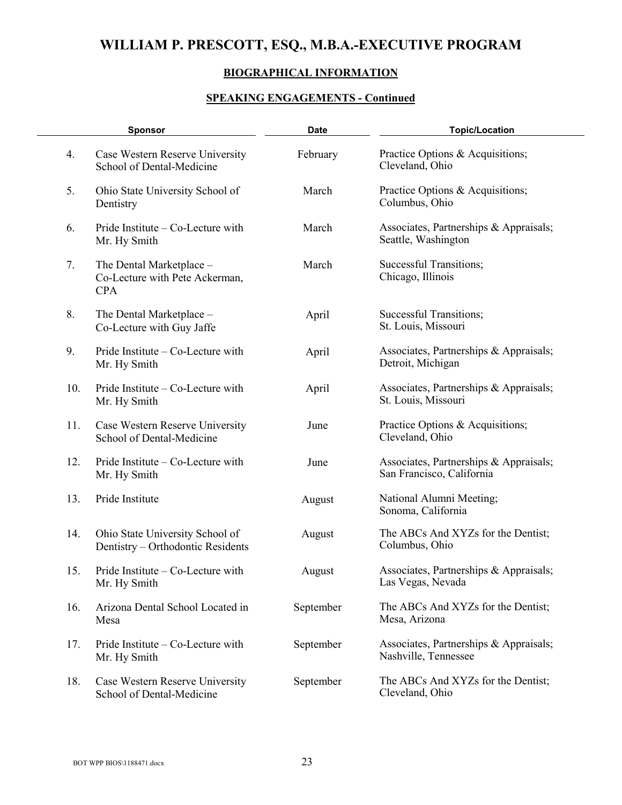### **BIOGRAPHICAL INFORMATION**

| <b>Sponsor</b> |                                                                          | <b>Date</b> | <b>Topic/Location</b>                                               |  |
|----------------|--------------------------------------------------------------------------|-------------|---------------------------------------------------------------------|--|
| 4.             | Case Western Reserve University<br>School of Dental-Medicine             | February    | Practice Options & Acquisitions;<br>Cleveland, Ohio                 |  |
| 5.             | Ohio State University School of<br>Dentistry                             | March       | Practice Options & Acquisitions;<br>Columbus, Ohio                  |  |
| 6.             | Pride Institute – Co-Lecture with<br>Mr. Hy Smith                        | March       | Associates, Partnerships & Appraisals;<br>Seattle, Washington       |  |
| 7.             | The Dental Marketplace -<br>Co-Lecture with Pete Ackerman,<br><b>CPA</b> | March       | <b>Successful Transitions;</b><br>Chicago, Illinois                 |  |
| 8.             | The Dental Marketplace -<br>Co-Lecture with Guy Jaffe                    | April       | Successful Transitions;<br>St. Louis, Missouri                      |  |
| 9.             | Pride Institute – Co-Lecture with<br>Mr. Hy Smith                        | April       | Associates, Partnerships & Appraisals;<br>Detroit, Michigan         |  |
| 10.            | Pride Institute – Co-Lecture with<br>Mr. Hy Smith                        | April       | Associates, Partnerships & Appraisals;<br>St. Louis, Missouri       |  |
| 11.            | Case Western Reserve University<br>School of Dental-Medicine             | June        | Practice Options & Acquisitions;<br>Cleveland, Ohio                 |  |
| 12.            | Pride Institute – Co-Lecture with<br>Mr. Hy Smith                        | June        | Associates, Partnerships & Appraisals;<br>San Francisco, California |  |
| 13.            | Pride Institute                                                          | August      | National Alumni Meeting;<br>Sonoma, California                      |  |
| 14.            | Ohio State University School of<br>Dentistry - Orthodontic Residents     | August      | The ABCs And XYZs for the Dentist;<br>Columbus, Ohio                |  |
| 15.            | Pride Institute - Co-Lecture with<br>Mr. Hy Smith                        | August      | Associates, Partnerships & Appraisals;<br>Las Vegas, Nevada         |  |
| 16.            | Arizona Dental School Located in<br>Mesa                                 | September   | The ABCs And XYZs for the Dentist;<br>Mesa, Arizona                 |  |
| 17.            | Pride Institute – Co-Lecture with<br>Mr. Hy Smith                        | September   | Associates, Partnerships & Appraisals;<br>Nashville, Tennessee      |  |
| 18.            | Case Western Reserve University<br>School of Dental-Medicine             | September   | The ABCs And XYZs for the Dentist;<br>Cleveland, Ohio               |  |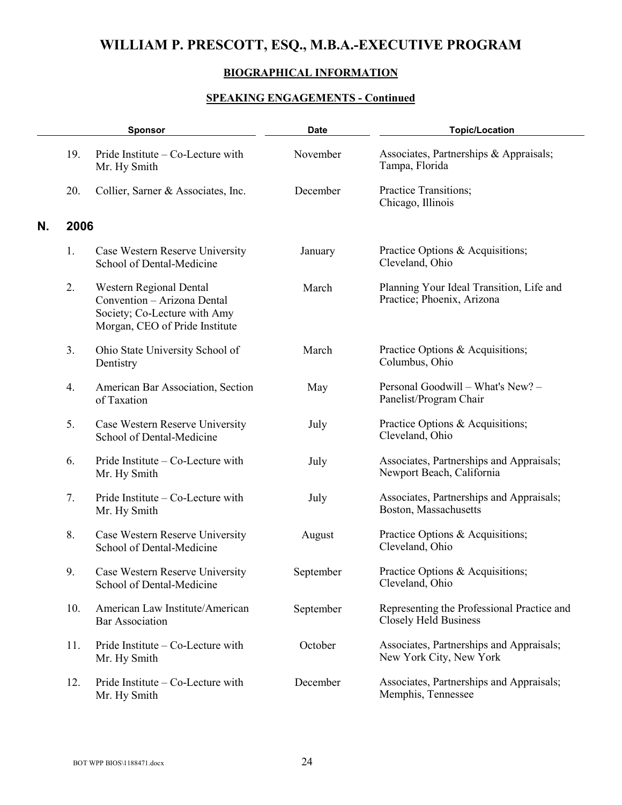## **BIOGRAPHICAL INFORMATION**

|    | <b>Sponsor</b> |                                                                                                                          | <b>Date</b> | <b>Topic/Location</b>                                                      |  |
|----|----------------|--------------------------------------------------------------------------------------------------------------------------|-------------|----------------------------------------------------------------------------|--|
|    | 19.            | Pride Institute – Co-Lecture with<br>Mr. Hy Smith                                                                        | November    | Associates, Partnerships & Appraisals;<br>Tampa, Florida                   |  |
|    | 20.            | Collier, Sarner & Associates, Inc.                                                                                       | December    | Practice Transitions;<br>Chicago, Illinois                                 |  |
| N. | 2006           |                                                                                                                          |             |                                                                            |  |
|    | 1.             | Case Western Reserve University<br>School of Dental-Medicine                                                             | January     | Practice Options & Acquisitions;<br>Cleveland, Ohio                        |  |
|    | 2.             | Western Regional Dental<br>Convention - Arizona Dental<br>Society; Co-Lecture with Amy<br>Morgan, CEO of Pride Institute | March       | Planning Your Ideal Transition, Life and<br>Practice; Phoenix, Arizona     |  |
|    | 3.             | Ohio State University School of<br>Dentistry                                                                             | March       | Practice Options & Acquisitions;<br>Columbus, Ohio                         |  |
|    | 4.             | American Bar Association, Section<br>of Taxation                                                                         | May         | Personal Goodwill - What's New? -<br>Panelist/Program Chair                |  |
|    | 5.             | Case Western Reserve University<br>School of Dental-Medicine                                                             | July        | Practice Options & Acquisitions;<br>Cleveland, Ohio                        |  |
|    | 6.             | Pride Institute – Co-Lecture with<br>Mr. Hy Smith                                                                        | July        | Associates, Partnerships and Appraisals;<br>Newport Beach, California      |  |
|    | 7.             | Pride Institute – Co-Lecture with<br>Mr. Hy Smith                                                                        | July        | Associates, Partnerships and Appraisals;<br>Boston, Massachusetts          |  |
|    | 8.             | Case Western Reserve University<br>School of Dental-Medicine                                                             | August      | Practice Options & Acquisitions;<br>Cleveland, Ohio                        |  |
|    | 9.             | Case Western Reserve University<br>School of Dental-Medicine                                                             | September   | Practice Options & Acquisitions;<br>Cleveland, Ohio                        |  |
|    | 10.            | American Law Institute/American<br><b>Bar Association</b>                                                                | September   | Representing the Professional Practice and<br><b>Closely Held Business</b> |  |
|    | 11.            | Pride Institute - Co-Lecture with<br>Mr. Hy Smith                                                                        | October     | Associates, Partnerships and Appraisals;<br>New York City, New York        |  |
|    | 12.            | Pride Institute – Co-Lecture with<br>Mr. Hy Smith                                                                        | December    | Associates, Partnerships and Appraisals;<br>Memphis, Tennessee             |  |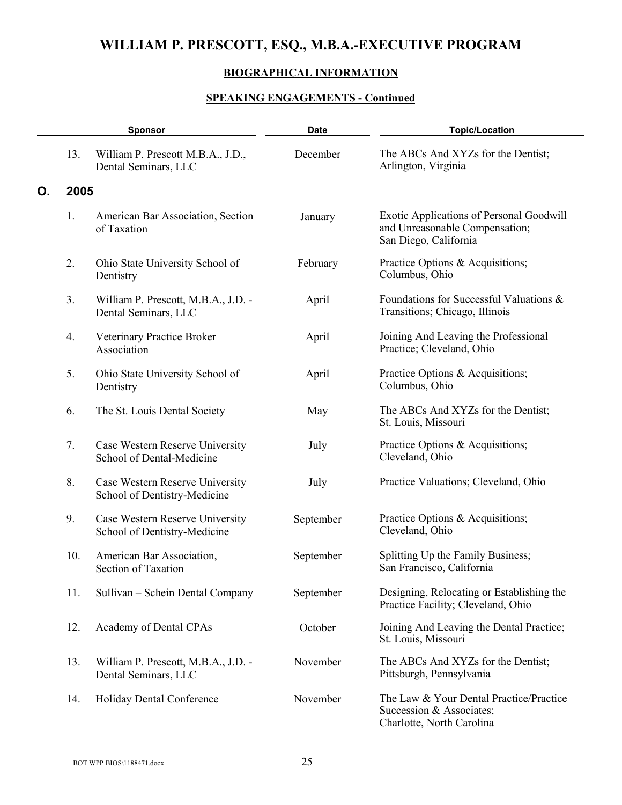## **BIOGRAPHICAL INFORMATION**

|    | <b>Sponsor</b> |                                                                 | <b>Date</b> | <b>Topic/Location</b>                                                                               |
|----|----------------|-----------------------------------------------------------------|-------------|-----------------------------------------------------------------------------------------------------|
|    | 13.            | William P. Prescott M.B.A., J.D.,<br>Dental Seminars, LLC       | December    | The ABCs And XYZs for the Dentist;<br>Arlington, Virginia                                           |
| О. | 2005           |                                                                 |             |                                                                                                     |
|    | 1.             | American Bar Association, Section<br>of Taxation                | January     | Exotic Applications of Personal Goodwill<br>and Unreasonable Compensation;<br>San Diego, California |
|    | 2.             | Ohio State University School of<br>Dentistry                    | February    | Practice Options & Acquisitions;<br>Columbus, Ohio                                                  |
|    | 3.             | William P. Prescott, M.B.A., J.D. -<br>Dental Seminars, LLC     | April       | Foundations for Successful Valuations &<br>Transitions; Chicago, Illinois                           |
|    | 4.             | Veterinary Practice Broker<br>Association                       | April       | Joining And Leaving the Professional<br>Practice; Cleveland, Ohio                                   |
|    | 5.             | Ohio State University School of<br>Dentistry                    | April       | Practice Options & Acquisitions;<br>Columbus, Ohio                                                  |
|    | 6.             | The St. Louis Dental Society                                    | May         | The ABCs And XYZs for the Dentist;<br>St. Louis, Missouri                                           |
|    | 7.             | Case Western Reserve University<br>School of Dental-Medicine    | July        | Practice Options & Acquisitions;<br>Cleveland, Ohio                                                 |
|    | 8.             | Case Western Reserve University<br>School of Dentistry-Medicine | July        | Practice Valuations; Cleveland, Ohio                                                                |
|    | 9.             | Case Western Reserve University<br>School of Dentistry-Medicine | September   | Practice Options & Acquisitions;<br>Cleveland, Ohio                                                 |
|    | 10.            | American Bar Association,<br>Section of Taxation                | September   | Splitting Up the Family Business;<br>San Francisco, California                                      |
|    | 11.            | Sullivan – Schein Dental Company                                | September   | Designing, Relocating or Establishing the<br>Practice Facility; Cleveland, Ohio                     |
|    | 12.            | Academy of Dental CPAs                                          | October     | Joining And Leaving the Dental Practice;<br>St. Louis, Missouri                                     |
|    | 13.            | William P. Prescott, M.B.A., J.D. -<br>Dental Seminars, LLC     | November    | The ABCs And XYZs for the Dentist;<br>Pittsburgh, Pennsylvania                                      |
|    | 14.            | Holiday Dental Conference                                       | November    | The Law & Your Dental Practice/Practice<br>Succession & Associates;<br>Charlotte, North Carolina    |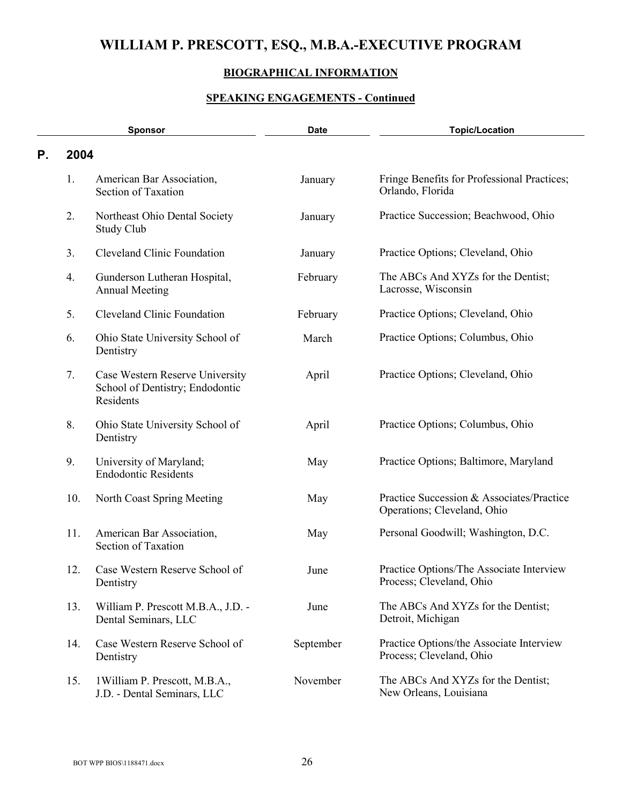## **BIOGRAPHICAL INFORMATION**

|    | <b>Sponsor</b> |                                                                                 | <b>Topic/Location</b><br><b>Date</b> |                                                                          |
|----|----------------|---------------------------------------------------------------------------------|--------------------------------------|--------------------------------------------------------------------------|
| Р. | 2004           |                                                                                 |                                      |                                                                          |
|    | 1.             | American Bar Association,<br>Section of Taxation                                | January                              | Fringe Benefits for Professional Practices;<br>Orlando, Florida          |
|    | 2.             | Northeast Ohio Dental Society<br>Study Club                                     | January                              | Practice Succession; Beachwood, Ohio                                     |
|    | 3.             | <b>Cleveland Clinic Foundation</b>                                              | January                              | Practice Options; Cleveland, Ohio                                        |
|    | 4.             | Gunderson Lutheran Hospital,<br><b>Annual Meeting</b>                           | February                             | The ABCs And XYZs for the Dentist;<br>Lacrosse, Wisconsin                |
|    | 5.             | <b>Cleveland Clinic Foundation</b>                                              | February                             | Practice Options; Cleveland, Ohio                                        |
|    | 6.             | Ohio State University School of<br>Dentistry                                    | March                                | Practice Options; Columbus, Ohio                                         |
|    | 7.             | Case Western Reserve University<br>School of Dentistry; Endodontic<br>Residents | April                                | Practice Options; Cleveland, Ohio                                        |
|    | 8.             | Ohio State University School of<br>Dentistry                                    | April                                | Practice Options; Columbus, Ohio                                         |
|    | 9.             | University of Maryland;<br><b>Endodontic Residents</b>                          | May                                  | Practice Options; Baltimore, Maryland                                    |
|    | 10.            | North Coast Spring Meeting                                                      | May                                  | Practice Succession & Associates/Practice<br>Operations; Cleveland, Ohio |
|    | 11.            | American Bar Association,<br>Section of Taxation                                | May                                  | Personal Goodwill; Washington, D.C.                                      |
|    | 12.            | Case Western Reserve School of<br>Dentistry                                     | June                                 | Practice Options/The Associate Interview<br>Process; Cleveland, Ohio     |
|    | 13.            | William P. Prescott M.B.A., J.D. -<br>Dental Seminars, LLC                      | June                                 | The ABCs And XYZs for the Dentist;<br>Detroit, Michigan                  |
|    | 14.            | Case Western Reserve School of<br>Dentistry                                     | September                            | Practice Options/the Associate Interview<br>Process; Cleveland, Ohio     |
|    | 15.            | 1 William P. Prescott, M.B.A.,<br>J.D. - Dental Seminars, LLC                   | November                             | The ABCs And XYZs for the Dentist;<br>New Orleans, Louisiana             |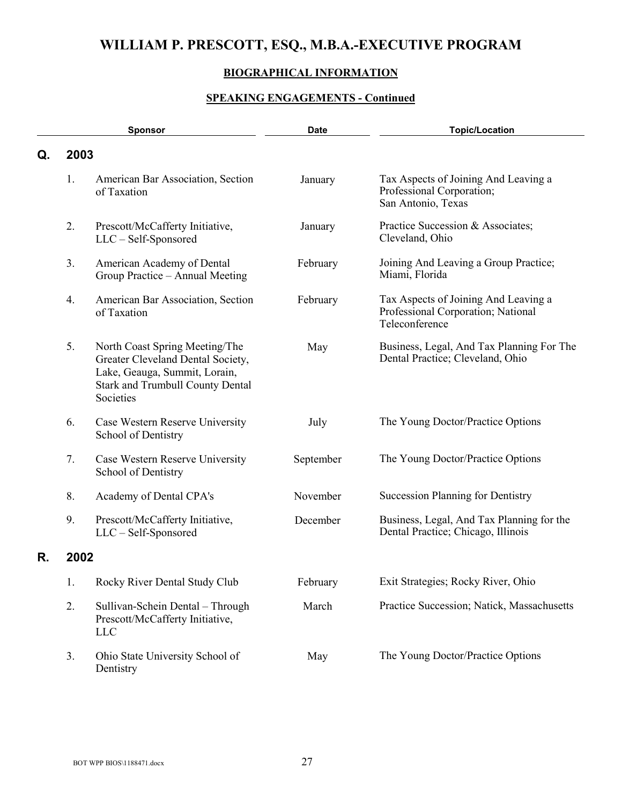## **BIOGRAPHICAL INFORMATION**

|    | <b>Sponsor</b> |                                                                                                                                                              | <b>Date</b> | <b>Topic/Location</b>                                                                        |
|----|----------------|--------------------------------------------------------------------------------------------------------------------------------------------------------------|-------------|----------------------------------------------------------------------------------------------|
| Q. | 2003           |                                                                                                                                                              |             |                                                                                              |
|    | 1.             | American Bar Association, Section<br>of Taxation                                                                                                             | January     | Tax Aspects of Joining And Leaving a<br>Professional Corporation;<br>San Antonio, Texas      |
|    | 2.             | Prescott/McCafferty Initiative,<br>LLC - Self-Sponsored                                                                                                      | January     | Practice Succession & Associates;<br>Cleveland, Ohio                                         |
|    | 3.             | American Academy of Dental<br>Group Practice - Annual Meeting                                                                                                | February    | Joining And Leaving a Group Practice;<br>Miami, Florida                                      |
|    | 4.             | American Bar Association, Section<br>of Taxation                                                                                                             | February    | Tax Aspects of Joining And Leaving a<br>Professional Corporation; National<br>Teleconference |
|    | 5.             | North Coast Spring Meeting/The<br>Greater Cleveland Dental Society,<br>Lake, Geauga, Summit, Lorain,<br><b>Stark and Trumbull County Dental</b><br>Societies | May         | Business, Legal, And Tax Planning For The<br>Dental Practice; Cleveland, Ohio                |
|    | 6.             | Case Western Reserve University<br>School of Dentistry                                                                                                       | July        | The Young Doctor/Practice Options                                                            |
|    | 7.             | Case Western Reserve University<br>School of Dentistry                                                                                                       | September   | The Young Doctor/Practice Options                                                            |
|    | 8.             | Academy of Dental CPA's                                                                                                                                      | November    | <b>Succession Planning for Dentistry</b>                                                     |
|    | 9.             | Prescott/McCafferty Initiative,<br>LLC - Self-Sponsored                                                                                                      | December    | Business, Legal, And Tax Planning for the<br>Dental Practice; Chicago, Illinois              |
| R. | 2002           |                                                                                                                                                              |             |                                                                                              |
|    | 1.             | Rocky River Dental Study Club                                                                                                                                | February    | Exit Strategies; Rocky River, Ohio                                                           |
|    | 2.             | Sullivan-Schein Dental - Through<br>Prescott/McCafferty Initiative,<br><b>LLC</b>                                                                            | March       | Practice Succession; Natick, Massachusetts                                                   |
|    | 3.             | Ohio State University School of<br>Dentistry                                                                                                                 | May         | The Young Doctor/Practice Options                                                            |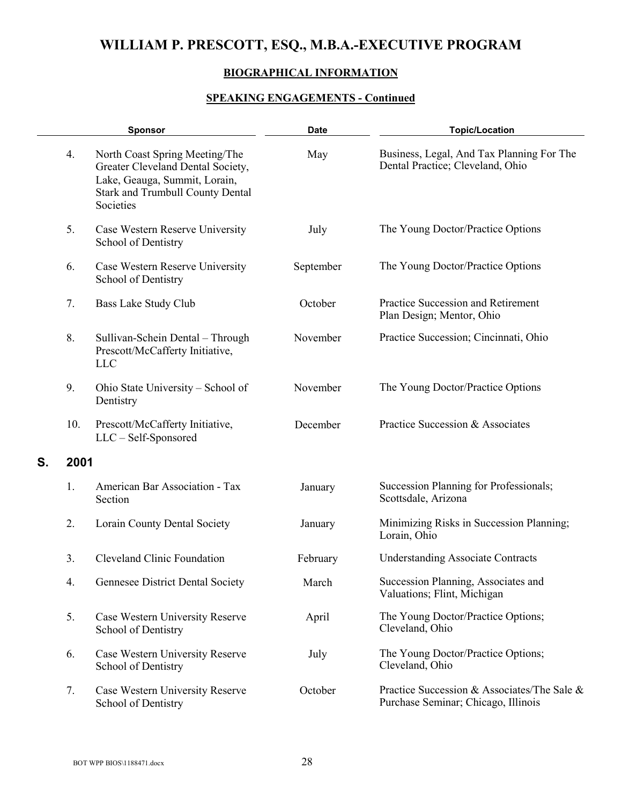### **BIOGRAPHICAL INFORMATION**

|    |      | <b>Sponsor</b>                                                                                                                                               | <b>Date</b> | <b>Topic/Location</b>                                                              |
|----|------|--------------------------------------------------------------------------------------------------------------------------------------------------------------|-------------|------------------------------------------------------------------------------------|
|    | 4.   | North Coast Spring Meeting/The<br>Greater Cleveland Dental Society,<br>Lake, Geauga, Summit, Lorain,<br><b>Stark and Trumbull County Dental</b><br>Societies | May         | Business, Legal, And Tax Planning For The<br>Dental Practice; Cleveland, Ohio      |
|    | 5.   | Case Western Reserve University<br>School of Dentistry                                                                                                       | July        | The Young Doctor/Practice Options                                                  |
|    | 6.   | Case Western Reserve University<br>School of Dentistry                                                                                                       | September   | The Young Doctor/Practice Options                                                  |
|    | 7.   | Bass Lake Study Club                                                                                                                                         | October     | Practice Succession and Retirement<br>Plan Design; Mentor, Ohio                    |
|    | 8.   | Sullivan-Schein Dental - Through<br>Prescott/McCafferty Initiative,<br><b>LLC</b>                                                                            | November    | Practice Succession; Cincinnati, Ohio                                              |
|    | 9.   | Ohio State University – School of<br>Dentistry                                                                                                               | November    | The Young Doctor/Practice Options                                                  |
|    | 10.  | Prescott/McCafferty Initiative,<br>LLC - Self-Sponsored                                                                                                      | December    | Practice Succession & Associates                                                   |
| S. | 2001 |                                                                                                                                                              |             |                                                                                    |
|    | 1.   | American Bar Association - Tax<br>Section                                                                                                                    | January     | Succession Planning for Professionals;<br>Scottsdale, Arizona                      |
|    | 2.   | Lorain County Dental Society                                                                                                                                 | January     | Minimizing Risks in Succession Planning;<br>Lorain, Ohio                           |
|    | 3.   | <b>Cleveland Clinic Foundation</b>                                                                                                                           | February    | <b>Understanding Associate Contracts</b>                                           |
|    | 4.   | Gennesee District Dental Society                                                                                                                             | March       | Succession Planning, Associates and<br>Valuations; Flint, Michigan                 |
|    | 5.   | Case Western University Reserve<br>School of Dentistry                                                                                                       | April       | The Young Doctor/Practice Options;<br>Cleveland, Ohio                              |
|    | 6.   | Case Western University Reserve<br>School of Dentistry                                                                                                       | July        | The Young Doctor/Practice Options;<br>Cleveland, Ohio                              |
|    | 7.   | Case Western University Reserve<br>School of Dentistry                                                                                                       | October     | Practice Succession & Associates/The Sale &<br>Purchase Seminar; Chicago, Illinois |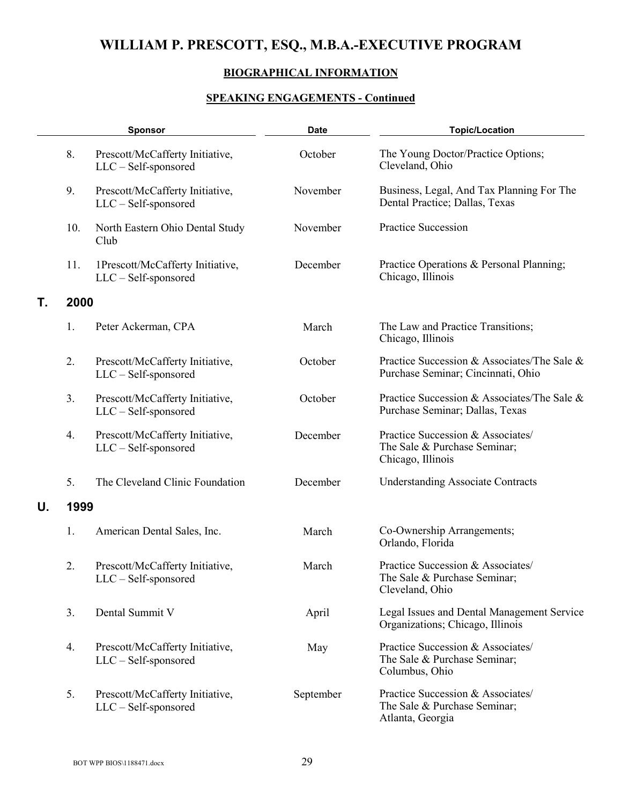## **BIOGRAPHICAL INFORMATION**

|    |      | <b>Sponsor</b>                                            | <b>Date</b> | <b>Topic/Location</b>                                                                  |
|----|------|-----------------------------------------------------------|-------------|----------------------------------------------------------------------------------------|
|    | 8.   | Prescott/McCafferty Initiative,<br>$LLC - Self-sponsored$ | October     | The Young Doctor/Practice Options;<br>Cleveland, Ohio                                  |
|    | 9.   | Prescott/McCafferty Initiative,<br>LLC - Self-sponsored   | November    | Business, Legal, And Tax Planning For The<br>Dental Practice; Dallas, Texas            |
|    | 10.  | North Eastern Ohio Dental Study<br>Club                   | November    | <b>Practice Succession</b>                                                             |
|    | 11.  | 1Prescott/McCafferty Initiative,<br>LLC - Self-sponsored  | December    | Practice Operations & Personal Planning;<br>Chicago, Illinois                          |
| Τ. | 2000 |                                                           |             |                                                                                        |
|    | 1.   | Peter Ackerman, CPA                                       | March       | The Law and Practice Transitions;<br>Chicago, Illinois                                 |
|    | 2.   | Prescott/McCafferty Initiative,<br>$LLC - Self-sponsored$ | October     | Practice Succession & Associates/The Sale &<br>Purchase Seminar; Cincinnati, Ohio      |
|    | 3.   | Prescott/McCafferty Initiative,<br>LLC - Self-sponsored   | October     | Practice Succession & Associates/The Sale &<br>Purchase Seminar; Dallas, Texas         |
|    | 4.   | Prescott/McCafferty Initiative,<br>$LLC - Self-sponsored$ | December    | Practice Succession & Associates/<br>The Sale & Purchase Seminar;<br>Chicago, Illinois |
|    | 5.   | The Cleveland Clinic Foundation                           | December    | <b>Understanding Associate Contracts</b>                                               |
| U. | 1999 |                                                           |             |                                                                                        |
|    | 1.   | American Dental Sales, Inc.                               | March       | Co-Ownership Arrangements;<br>Orlando, Florida                                         |
|    | 2.   | Prescott/McCafferty Initiative,<br>LLC - Self-sponsored   | March       | Practice Succession & Associates/<br>The Sale & Purchase Seminar;<br>Cleveland, Ohio   |
|    | 3.   | Dental Summit V                                           | April       | Legal Issues and Dental Management Service<br>Organizations; Chicago, Illinois         |
|    | 4.   | Prescott/McCafferty Initiative,<br>$LLC - Self-sponsored$ | May         | Practice Succession & Associates/<br>The Sale & Purchase Seminar;<br>Columbus, Ohio    |
|    | 5.   | Prescott/McCafferty Initiative,<br>LLC - Self-sponsored   | September   | Practice Succession & Associates/<br>The Sale & Purchase Seminar;<br>Atlanta, Georgia  |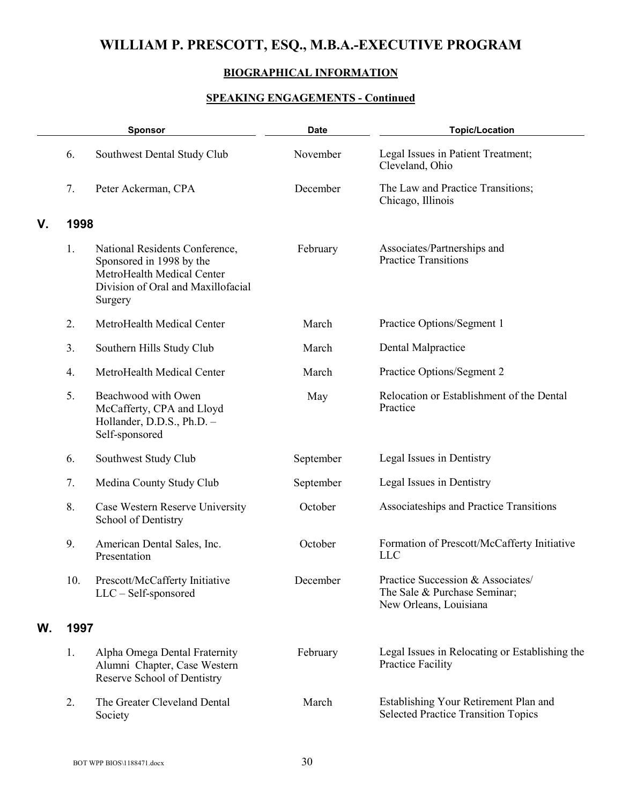## **BIOGRAPHICAL INFORMATION**

|    | <b>Sponsor</b> |                                                                                                                                           | <b>Date</b> | <b>Topic/Location</b>                                                                       |
|----|----------------|-------------------------------------------------------------------------------------------------------------------------------------------|-------------|---------------------------------------------------------------------------------------------|
|    | 6.             | Southwest Dental Study Club                                                                                                               | November    | Legal Issues in Patient Treatment;<br>Cleveland, Ohio                                       |
|    | 7.             | Peter Ackerman, CPA                                                                                                                       | December    | The Law and Practice Transitions;<br>Chicago, Illinois                                      |
| V. | 1998           |                                                                                                                                           |             |                                                                                             |
|    | 1.             | National Residents Conference,<br>Sponsored in 1998 by the<br>MetroHealth Medical Center<br>Division of Oral and Maxillofacial<br>Surgery | February    | Associates/Partnerships and<br><b>Practice Transitions</b>                                  |
|    | 2.             | MetroHealth Medical Center                                                                                                                | March       | Practice Options/Segment 1                                                                  |
|    | 3.             | Southern Hills Study Club                                                                                                                 | March       | Dental Malpractice                                                                          |
|    | 4.             | MetroHealth Medical Center                                                                                                                | March       | Practice Options/Segment 2                                                                  |
|    | 5.             | Beachwood with Owen<br>McCafferty, CPA and Lloyd<br>Hollander, D.D.S., Ph.D. -<br>Self-sponsored                                          | May         | Relocation or Establishment of the Dental<br>Practice                                       |
|    | 6.             | Southwest Study Club                                                                                                                      | September   | Legal Issues in Dentistry                                                                   |
|    | 7.             | Medina County Study Club                                                                                                                  | September   | Legal Issues in Dentistry                                                                   |
|    | 8.             | Case Western Reserve University<br>School of Dentistry                                                                                    | October     | Associateships and Practice Transitions                                                     |
|    | 9.             | American Dental Sales, Inc.<br>Presentation                                                                                               | October     | Formation of Prescott/McCafferty Initiative<br><b>LLC</b>                                   |
|    | 10.            | Prescott/McCafferty Initiative<br>$LLC - Self-sponsored$                                                                                  | December    | Practice Succession & Associates/<br>The Sale & Purchase Seminar;<br>New Orleans, Louisiana |
| W. | 1997           |                                                                                                                                           |             |                                                                                             |
|    | 1.             | Alpha Omega Dental Fraternity<br>Alumni Chapter, Case Western<br>Reserve School of Dentistry                                              | February    | Legal Issues in Relocating or Establishing the<br><b>Practice Facility</b>                  |
|    | 2.             | The Greater Cleveland Dental<br>Society                                                                                                   | March       | Establishing Your Retirement Plan and<br><b>Selected Practice Transition Topics</b>         |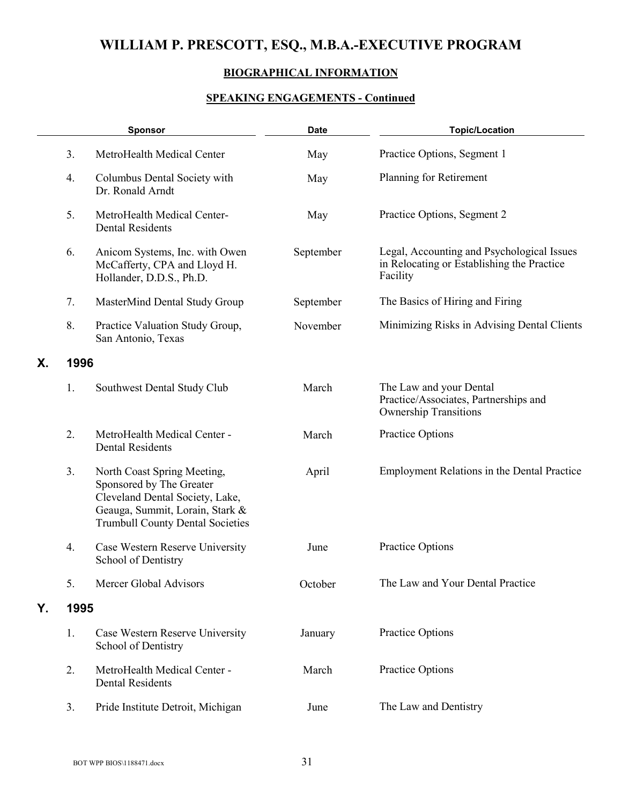## **BIOGRAPHICAL INFORMATION**

|    |      | <b>Sponsor</b>                                                                                                                                                           | <b>Date</b> | <b>Topic/Location</b>                                                                                |
|----|------|--------------------------------------------------------------------------------------------------------------------------------------------------------------------------|-------------|------------------------------------------------------------------------------------------------------|
|    | 3.   | MetroHealth Medical Center                                                                                                                                               | May         | Practice Options, Segment 1                                                                          |
|    | 4.   | Columbus Dental Society with<br>Dr. Ronald Arndt                                                                                                                         | May         | Planning for Retirement                                                                              |
|    | 5.   | MetroHealth Medical Center-<br><b>Dental Residents</b>                                                                                                                   | May         | Practice Options, Segment 2                                                                          |
|    | 6.   | Anicom Systems, Inc. with Owen<br>McCafferty, CPA and Lloyd H.<br>Hollander, D.D.S., Ph.D.                                                                               | September   | Legal, Accounting and Psychological Issues<br>in Relocating or Establishing the Practice<br>Facility |
|    | 7.   | MasterMind Dental Study Group                                                                                                                                            | September   | The Basics of Hiring and Firing                                                                      |
|    | 8.   | Practice Valuation Study Group,<br>San Antonio, Texas                                                                                                                    | November    | Minimizing Risks in Advising Dental Clients                                                          |
| Χ. | 1996 |                                                                                                                                                                          |             |                                                                                                      |
|    | 1.   | Southwest Dental Study Club                                                                                                                                              | March       | The Law and your Dental<br>Practice/Associates, Partnerships and<br><b>Ownership Transitions</b>     |
|    | 2.   | MetroHealth Medical Center -<br><b>Dental Residents</b>                                                                                                                  | March       | Practice Options                                                                                     |
|    | 3.   | North Coast Spring Meeting,<br>Sponsored by The Greater<br>Cleveland Dental Society, Lake,<br>Geauga, Summit, Lorain, Stark &<br><b>Trumbull County Dental Societies</b> | April       | Employment Relations in the Dental Practice                                                          |
|    | 4.   | Case Western Reserve University<br>School of Dentistry                                                                                                                   | June        | Practice Options                                                                                     |
|    | 5.   | Mercer Global Advisors                                                                                                                                                   | October     | The Law and Your Dental Practice                                                                     |
| Y. | 1995 |                                                                                                                                                                          |             |                                                                                                      |
|    | 1.   | Case Western Reserve University<br>School of Dentistry                                                                                                                   | January     | Practice Options                                                                                     |
|    | 2.   | MetroHealth Medical Center -<br><b>Dental Residents</b>                                                                                                                  | March       | Practice Options                                                                                     |
|    | 3.   | Pride Institute Detroit, Michigan                                                                                                                                        | June        | The Law and Dentistry                                                                                |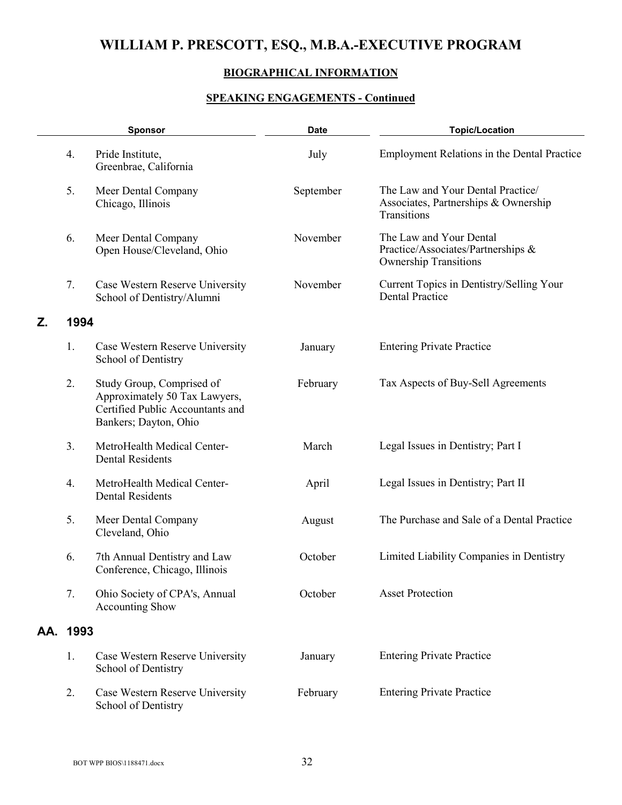## **BIOGRAPHICAL INFORMATION**

|    | <b>Sponsor</b> |                                                                                                                         | <b>Date</b> | <b>Topic/Location</b>                                                                         |
|----|----------------|-------------------------------------------------------------------------------------------------------------------------|-------------|-----------------------------------------------------------------------------------------------|
|    | 4.             | Pride Institute,<br>Greenbrae, California                                                                               | July        | <b>Employment Relations in the Dental Practice</b>                                            |
|    | 5.             | Meer Dental Company<br>Chicago, Illinois                                                                                | September   | The Law and Your Dental Practice/<br>Associates, Partnerships & Ownership<br>Transitions      |
|    | 6.             | Meer Dental Company<br>Open House/Cleveland, Ohio                                                                       | November    | The Law and Your Dental<br>Practice/Associates/Partnerships &<br><b>Ownership Transitions</b> |
|    | 7.             | Case Western Reserve University<br>School of Dentistry/Alumni                                                           | November    | Current Topics in Dentistry/Selling Your<br><b>Dental Practice</b>                            |
| Ζ. | 1994           |                                                                                                                         |             |                                                                                               |
|    | 1.             | Case Western Reserve University<br>School of Dentistry                                                                  | January     | <b>Entering Private Practice</b>                                                              |
|    | 2.             | Study Group, Comprised of<br>Approximately 50 Tax Lawyers,<br>Certified Public Accountants and<br>Bankers; Dayton, Ohio | February    | Tax Aspects of Buy-Sell Agreements                                                            |
|    | 3.             | MetroHealth Medical Center-<br><b>Dental Residents</b>                                                                  | March       | Legal Issues in Dentistry; Part I                                                             |
|    | 4.             | MetroHealth Medical Center-<br><b>Dental Residents</b>                                                                  | April       | Legal Issues in Dentistry; Part II                                                            |
|    | 5.             | Meer Dental Company<br>Cleveland, Ohio                                                                                  | August      | The Purchase and Sale of a Dental Practice                                                    |
|    | 6.             | 7th Annual Dentistry and Law<br>Conference, Chicago, Illinois                                                           | October     | Limited Liability Companies in Dentistry                                                      |
|    | 7.             | Ohio Society of CPA's, Annual<br><b>Accounting Show</b>                                                                 | October     | <b>Asset Protection</b>                                                                       |
|    | AA. 1993       |                                                                                                                         |             |                                                                                               |
|    | 1.             | Case Western Reserve University<br>School of Dentistry                                                                  | January     | <b>Entering Private Practice</b>                                                              |
|    | 2.             | Case Western Reserve University<br>School of Dentistry                                                                  | February    | <b>Entering Private Practice</b>                                                              |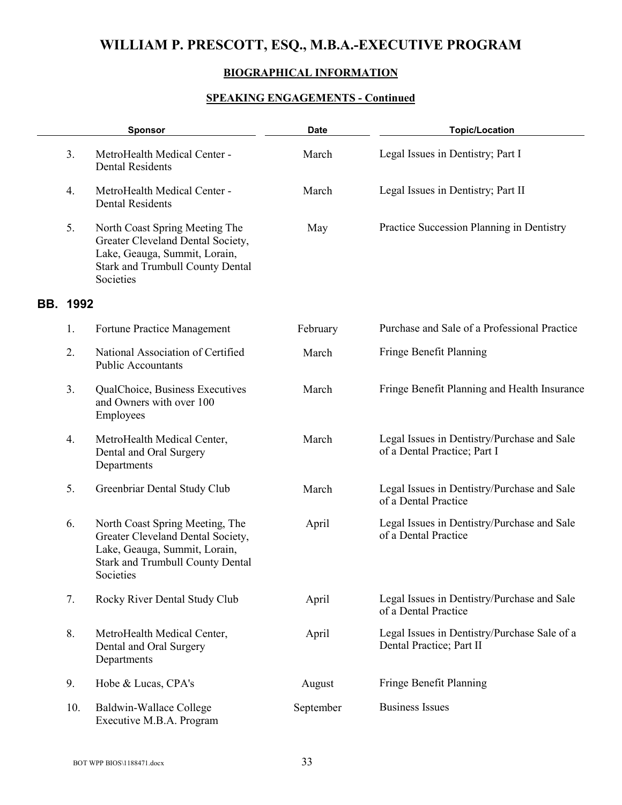## **BIOGRAPHICAL INFORMATION**

|                 | <b>Sponsor</b>                                                                                                                                                | <b>Date</b> | <b>Topic/Location</b>                                                       |
|-----------------|---------------------------------------------------------------------------------------------------------------------------------------------------------------|-------------|-----------------------------------------------------------------------------|
| 3.              | MetroHealth Medical Center -<br><b>Dental Residents</b>                                                                                                       | March       | Legal Issues in Dentistry; Part I                                           |
| 4.              | MetroHealth Medical Center -<br><b>Dental Residents</b>                                                                                                       | March       | Legal Issues in Dentistry; Part II                                          |
| 5.              | North Coast Spring Meeting The<br>Greater Cleveland Dental Society,<br>Lake, Geauga, Summit, Lorain,<br><b>Stark and Trumbull County Dental</b><br>Societies  | May         | Practice Succession Planning in Dentistry                                   |
| <b>BB. 1992</b> |                                                                                                                                                               |             |                                                                             |
| 1.              | Fortune Practice Management                                                                                                                                   | February    | Purchase and Sale of a Professional Practice                                |
| 2.              | National Association of Certified<br><b>Public Accountants</b>                                                                                                | March       | Fringe Benefit Planning                                                     |
| 3.              | QualChoice, Business Executives<br>and Owners with over 100<br>Employees                                                                                      | March       | Fringe Benefit Planning and Health Insurance                                |
| 4.              | MetroHealth Medical Center,<br>Dental and Oral Surgery<br>Departments                                                                                         | March       | Legal Issues in Dentistry/Purchase and Sale<br>of a Dental Practice; Part I |
| 5.              | Greenbriar Dental Study Club                                                                                                                                  | March       | Legal Issues in Dentistry/Purchase and Sale<br>of a Dental Practice         |
| 6.              | North Coast Spring Meeting, The<br>Greater Cleveland Dental Society,<br>Lake, Geauga, Summit, Lorain,<br><b>Stark and Trumbull County Dental</b><br>Societies | April       | Legal Issues in Dentistry/Purchase and Sale<br>of a Dental Practice         |
| 7.              | Rocky River Dental Study Club                                                                                                                                 | April       | Legal Issues in Dentistry/Purchase and Sale<br>of a Dental Practice         |
| 8.              | MetroHealth Medical Center,<br>Dental and Oral Surgery<br>Departments                                                                                         | April       | Legal Issues in Dentistry/Purchase Sale of a<br>Dental Practice; Part II    |
| 9.              | Hobe & Lucas, CPA's                                                                                                                                           | August      | Fringe Benefit Planning                                                     |
| 10.             | Baldwin-Wallace College<br>Executive M.B.A. Program                                                                                                           | September   | <b>Business Issues</b>                                                      |